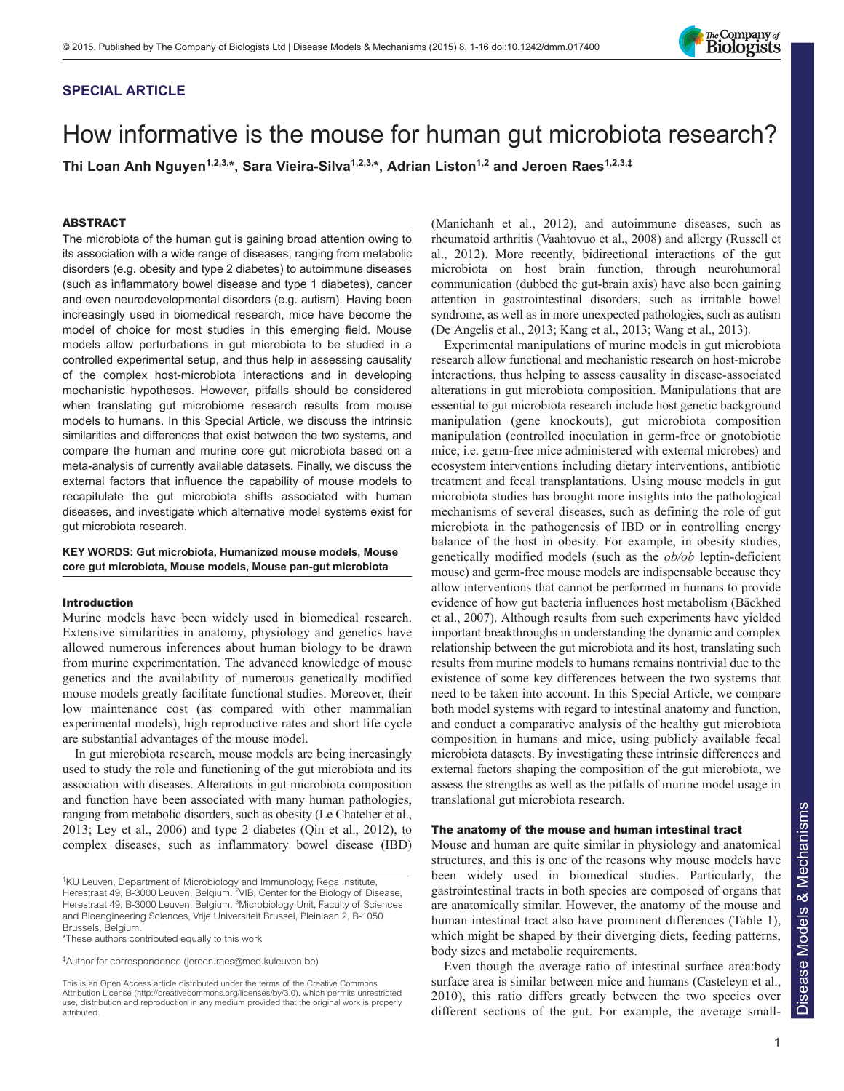# **SPECIAL ARTICLE**



# How informative is the mouse for human gut microbiota research?

**Thi Loan Anh Nguyen1,2,3,\*, Sara Vieira-Silva1,2,3,\*, Adrian Liston1,2 and Jeroen Raes1,2,3,‡**

# ABSTRACT

The microbiota of the human gut is gaining broad attention owing to its association with a wide range of diseases, ranging from metabolic disorders (e.g. obesity and type 2 diabetes) to autoimmune diseases (such as inflammatory bowel disease and type 1 diabetes), cancer and even neurodevelopmental disorders (e.g. autism). Having been increasingly used in biomedical research, mice have become the model of choice for most studies in this emerging field. Mouse models allow perturbations in gut microbiota to be studied in a controlled experimental setup, and thus help in assessing causality of the complex host-microbiota interactions and in developing mechanistic hypotheses. However, pitfalls should be considered when translating gut microbiome research results from mouse models to humans. In this Special Article, we discuss the intrinsic similarities and differences that exist between the two systems, and compare the human and murine core gut microbiota based on a meta-analysis of currently available datasets. Finally, we discuss the external factors that influence the capability of mouse models to recapitulate the gut microbiota shifts associated with human diseases, and investigate which alternative model systems exist for gut microbiota research.

# **KEY WORDS: Gut microbiota, Humanized mouse models, Mouse core gut microbiota, Mouse models, Mouse pan-gut microbiota**

#### Introduction

Murine models have been widely used in biomedical research. Extensive similarities in anatomy, physiology and genetics have allowed numerous inferences about human biology to be drawn from murine experimentation. The advanced knowledge of mouse genetics and the availability of numerous genetically modified mouse models greatly facilitate functional studies. Moreover, their low maintenance cost (as compared with other mammalian experimental models), high reproductive rates and short life cycle are substantial advantages of the mouse model.

In gut microbiota research, mouse models are being increasingly used to study the role and functioning of the gut microbiota and its association with diseases. Alterations in gut microbiota composition and function have been associated with many human pathologies, ranging from metabolic disorders, such as obesity (Le Chatelier et al., 2013; Ley et al., 2006) and type 2 diabetes (Qin et al., 2012), to complex diseases, such as inflammatory bowel disease (IBD)

\*These authors contributed equally to this work

‡ Author for correspondence (jeroen.raes@med.kuleuven.be)

This is an Open Access article distributed under the terms of the Creative Commons Attribution License (http://creativecommons.org/licenses/by/3.0), which permits unrestricted use, distribution and reproduction in any medium provided that the original work is properly attributed.

(Manichanh et al., 2012), and autoimmune diseases, such as rheumatoid arthritis (Vaahtovuo et al., 2008) and allergy (Russell et al., 2012). More recently, bidirectional interactions of the gut microbiota on host brain function, through neurohumoral communication (dubbed the gut-brain axis) have also been gaining attention in gastrointestinal disorders, such as irritable bowel syndrome, as well as in more unexpected pathologies, such as autism (De Angelis et al., 2013; Kang et al., 2013; Wang et al., 2013).

Experimental manipulations of murine models in gut microbiota research allow functional and mechanistic research on host-microbe interactions, thus helping to assess causality in disease-associated alterations in gut microbiota composition. Manipulations that are essential to gut microbiota research include host genetic background manipulation (gene knockouts), gut microbiota composition manipulation (controlled inoculation in germ-free or gnotobiotic mice, i.e. germ-free mice administered with external microbes) and ecosystem interventions including dietary interventions, antibiotic treatment and fecal transplantations. Using mouse models in gut microbiota studies has brought more insights into the pathological mechanisms of several diseases, such as defining the role of gut microbiota in the pathogenesis of IBD or in controlling energy balance of the host in obesity. For example, in obesity studies, genetically modified models (such as the *ob/ob* leptin-deficient mouse) and germ-free mouse models are indispensable because they allow interventions that cannot be performed in humans to provide evidence of how gut bacteria influences host metabolism (Bäckhed et al., 2007). Although results from such experiments have yielded important breakthroughs in understanding the dynamic and complex relationship between the gut microbiota and its host, translating such results from murine models to humans remains nontrivial due to the existence of some key differences between the two systems that need to be taken into account. In this Special Article, we compare both model systems with regard to intestinal anatomy and function, and conduct a comparative analysis of the healthy gut microbiota composition in humans and mice, using publicly available fecal microbiota datasets. By investigating these intrinsic differences and external factors shaping the composition of the gut microbiota, we assess the strengths as well as the pitfalls of murine model usage in translational gut microbiota research.

## The anatomy of the mouse and human intestinal tract

Mouse and human are quite similar in physiology and anatomical structures, and this is one of the reasons why mouse models have been widely used in biomedical studies. Particularly, the gastrointestinal tracts in both species are composed of organs that are anatomically similar. However, the anatomy of the mouse and human intestinal tract also have prominent differences (Table 1), which might be shaped by their diverging diets, feeding patterns, body sizes and metabolic requirements.

Even though the average ratio of intestinal surface area:body surface area is similar between mice and humans (Casteleyn et al., 2010), this ratio differs greatly between the two species over different sections of the gut. For example, the average small-

<sup>&</sup>lt;sup>1</sup>KU Leuven, Department of Microbiology and Immunology, Rega Institute,<br>Herestraat 49, B-3000 Leuven, Belgium. <sup>2</sup>VIB, Center for the Biology of Disease, Herestraat 49, B-3000 Leuven, Belgium. <sup>3</sup>Microbiology Unit, Faculty of Sciences and Bioengineering Sciences, Vrije Universiteit Brussel, Pleinlaan 2, B-1050 Brussels, Belgium.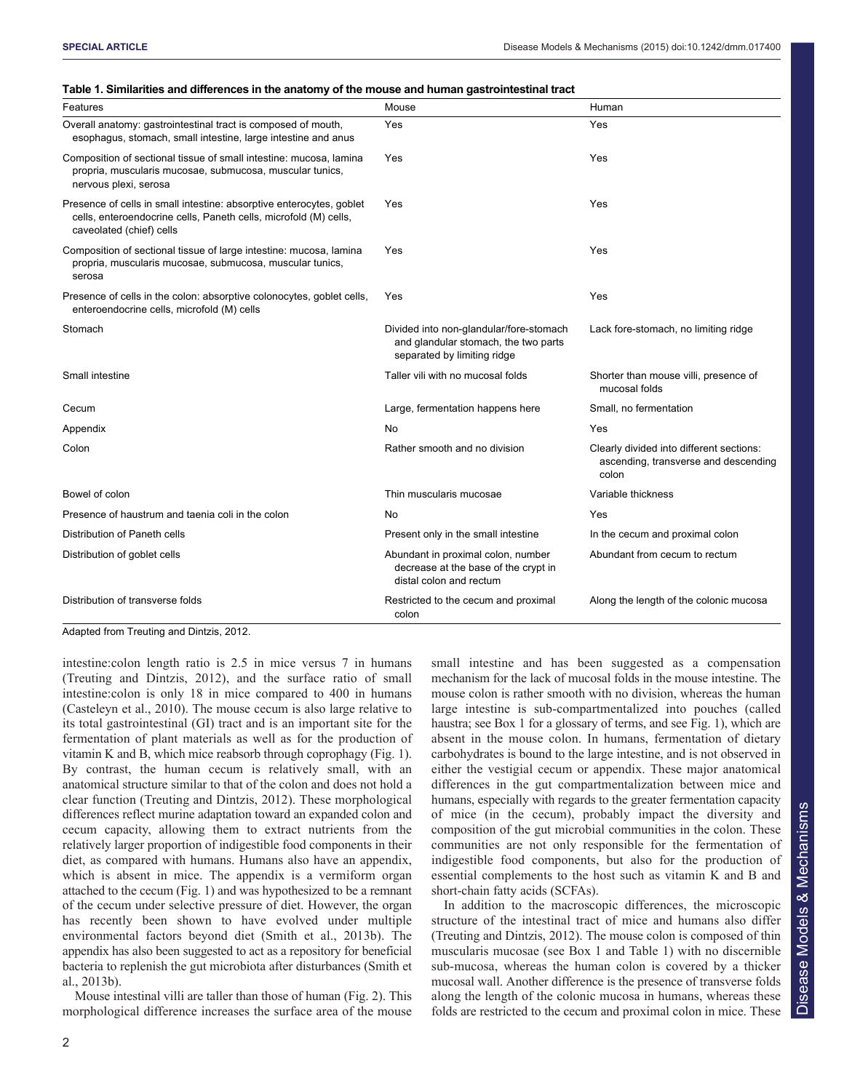| Features                                                                                                                                                             | Mouse                                                                                                          | Human                                                                                     |
|----------------------------------------------------------------------------------------------------------------------------------------------------------------------|----------------------------------------------------------------------------------------------------------------|-------------------------------------------------------------------------------------------|
| Overall anatomy: gastrointestinal tract is composed of mouth,<br>esophagus, stomach, small intestine, large intestine and anus                                       | Yes<br>Yes                                                                                                     |                                                                                           |
| Composition of sectional tissue of small intestine: mucosa, lamina<br>propria, muscularis mucosae, submucosa, muscular tunics,<br>nervous plexi, serosa              | Yes                                                                                                            | Yes                                                                                       |
| Presence of cells in small intestine: absorptive enterocytes, goblet<br>cells, enteroendocrine cells, Paneth cells, microfold (M) cells,<br>caveolated (chief) cells | Yes                                                                                                            | Yes                                                                                       |
| Composition of sectional tissue of large intestine: mucosa, lamina<br>propria, muscularis mucosae, submucosa, muscular tunics,<br>serosa                             | Yes                                                                                                            | Yes                                                                                       |
| Presence of cells in the colon: absorptive colonocytes, goblet cells,<br>enteroendocrine cells, microfold (M) cells                                                  | Yes                                                                                                            | Yes                                                                                       |
| Stomach                                                                                                                                                              | Divided into non-glandular/fore-stomach<br>and glandular stomach, the two parts<br>separated by limiting ridge | Lack fore-stomach, no limiting ridge                                                      |
| Small intestine                                                                                                                                                      | Taller vili with no mucosal folds                                                                              | Shorter than mouse villi, presence of<br>mucosal folds                                    |
| Cecum                                                                                                                                                                | Large, fermentation happens here                                                                               | Small, no fermentation                                                                    |
| Appendix                                                                                                                                                             | No                                                                                                             | Yes                                                                                       |
| Colon                                                                                                                                                                | Rather smooth and no division                                                                                  | Clearly divided into different sections:<br>ascending, transverse and descending<br>colon |
| Bowel of colon                                                                                                                                                       | Thin muscularis mucosae                                                                                        | Variable thickness                                                                        |
| Presence of haustrum and taenia coli in the colon                                                                                                                    | No                                                                                                             | Yes                                                                                       |
| Distribution of Paneth cells                                                                                                                                         | Present only in the small intestine                                                                            | In the cecum and proximal colon                                                           |
| Distribution of goblet cells                                                                                                                                         | Abundant in proximal colon, number<br>decrease at the base of the crypt in<br>distal colon and rectum          | Abundant from cecum to rectum                                                             |
| Distribution of transverse folds                                                                                                                                     | Restricted to the cecum and proximal<br>colon                                                                  | Along the length of the colonic mucosa                                                    |

Adapted from Treuting and Dintzis, 2012.

intestine:colon length ratio is 2.5 in mice versus 7 in humans (Treuting and Dintzis, 2012), and the surface ratio of small intestine:colon is only 18 in mice compared to 400 in humans (Casteleyn et al., 2010). The mouse cecum is also large relative to its total gastrointestinal (GI) tract and is an important site for the fermentation of plant materials as well as for the production of vitamin K and B, which mice reabsorb through coprophagy (Fig. 1). By contrast, the human cecum is relatively small, with an anatomical structure similar to that of the colon and does not hold a clear function (Treuting and Dintzis, 2012). These morphological differences reflect murine adaptation toward an expanded colon and cecum capacity, allowing them to extract nutrients from the relatively larger proportion of indigestible food components in their diet, as compared with humans. Humans also have an appendix, which is absent in mice. The appendix is a vermiform organ attached to the cecum (Fig. 1) and was hypothesized to be a remnant of the cecum under selective pressure of diet. However, the organ has recently been shown to have evolved under multiple environmental factors beyond diet (Smith et al., 2013b). The appendix has also been suggested to act as a repository for beneficial bacteria to replenish the gut microbiota after disturbances (Smith et al., 2013b).

Mouse intestinal villi are taller than those of human (Fig. 2). This morphological difference increases the surface area of the mouse small intestine and has been suggested as a compensation mechanism for the lack of mucosal folds in the mouse intestine. The mouse colon is rather smooth with no division, whereas the human large intestine is sub-compartmentalized into pouches (called haustra; see Box 1 for a glossary of terms, and see Fig. 1), which are absent in the mouse colon. In humans, fermentation of dietary carbohydrates is bound to the large intestine, and is not observed in either the vestigial cecum or appendix. These major anatomical differences in the gut compartmentalization between mice and humans, especially with regards to the greater fermentation capacity of mice (in the cecum), probably impact the diversity and composition of the gut microbial communities in the colon. These communities are not only responsible for the fermentation of indigestible food components, but also for the production of essential complements to the host such as vitamin K and B and short-chain fatty acids (SCFAs).

In addition to the macroscopic differences, the microscopic structure of the intestinal tract of mice and humans also differ (Treuting and Dintzis, 2012). The mouse colon is composed of thin muscularis mucosae (see Box 1 and Table 1) with no discernible sub-mucosa, whereas the human colon is covered by a thicker mucosal wall. Another difference is the presence of transverse folds along the length of the colonic mucosa in humans, whereas these folds are restricted to the cecum and proximal colon in mice. These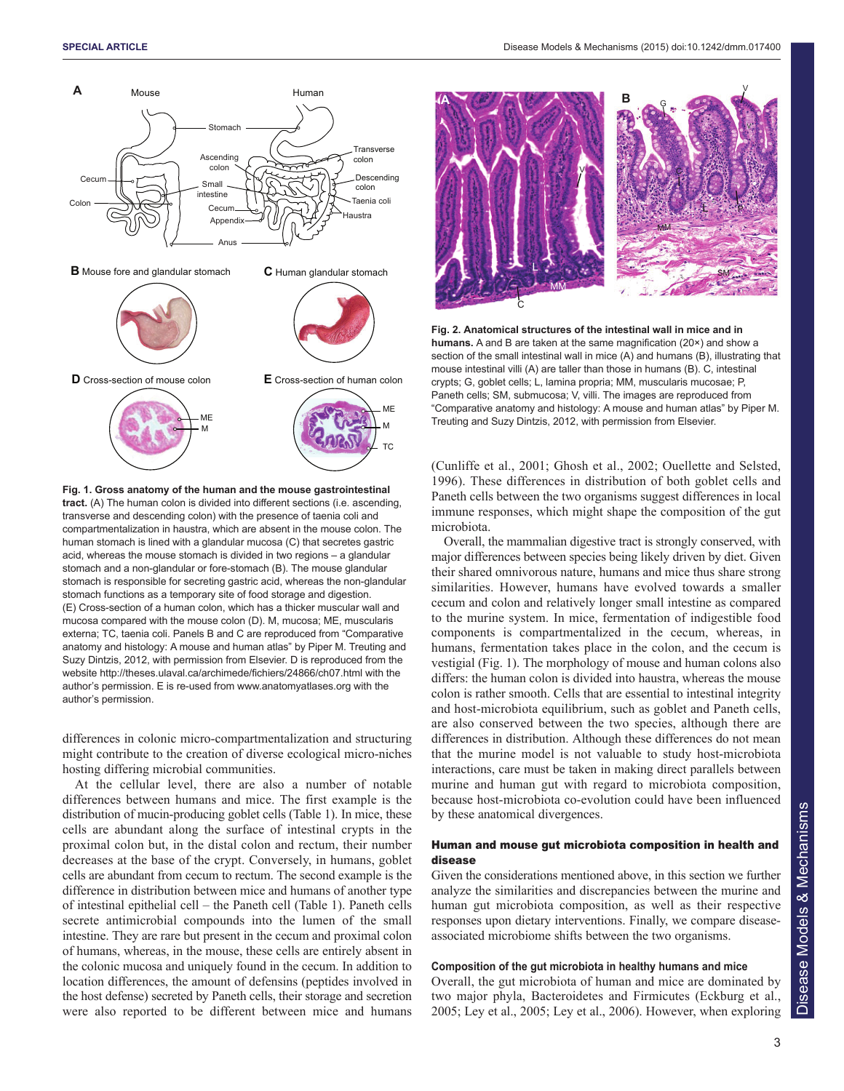

**Fig. 1. Gross anatomy of the human and the mouse gastrointestinal tract.** (A) The human colon is divided into different sections (i.e. ascending, transverse and descending colon) with the presence of taenia coli and compartmentalization in haustra, which are absent in the mouse colon. The human stomach is lined with a glandular mucosa (C) that secretes gastric acid, whereas the mouse stomach is divided in two regions – a glandular stomach and a non-glandular or fore-stomach (B). The mouse glandular stomach is responsible for secreting gastric acid, whereas the non-glandular stomach functions as a temporary site of food storage and digestion. (E) Cross-section of a human colon, which has a thicker muscular wall and mucosa compared with the mouse colon (D). M, mucosa; ME, muscularis externa; TC, taenia coli. Panels B and C are reproduced from "Comparative anatomy and histology: A mouse and human atlas" by Piper M. Treuting and Suzy Dintzis, 2012, with permission from Elsevier. D is reproduced from the website http://theses.ulaval.ca/archimede/fichiers/24866/ch07.html with the author's permission. E is re-used from www.anatomyatlases.org with the author's permission.

differences in colonic micro-compartmentalization and structuring might contribute to the creation of diverse ecological micro-niches hosting differing microbial communities.

At the cellular level, there are also a number of notable differences between humans and mice. The first example is the distribution of mucin-producing goblet cells (Table 1). In mice, these cells are abundant along the surface of intestinal crypts in the proximal colon but, in the distal colon and rectum, their number decreases at the base of the crypt. Conversely, in humans, goblet cells are abundant from cecum to rectum. The second example is the difference in distribution between mice and humans of another type of intestinal epithelial cell – the Paneth cell (Table 1). Paneth cells secrete antimicrobial compounds into the lumen of the small intestine. They are rare but present in the cecum and proximal colon of humans, whereas, in the mouse, these cells are entirely absent in the colonic mucosa and uniquely found in the cecum. In addition to location differences, the amount of defensins (peptides involved in the host defense) secreted by Paneth cells, their storage and secretion were also reported to be different between mice and humans



**Fig. 2. Anatomical structures of the intestinal wall in mice and in humans.** A and B are taken at the same magnification (20×) and show a section of the small intestinal wall in mice (A) and humans (B), illustrating that mouse intestinal villi (A) are taller than those in humans (B). C, intestinal crypts; G, goblet cells; L, lamina propria; MM, muscularis mucosae; P, Paneth cells; SM, submucosa; V, villi. The images are reproduced from "Comparative anatomy and histology: A mouse and human atlas" by Piper M. Treuting and Suzy Dintzis, 2012, with permission from Elsevier.

(Cunliffe et al., 2001; Ghosh et al., 2002; Ouellette and Selsted, 1996). These differences in distribution of both goblet cells and Paneth cells between the two organisms suggest differences in local immune responses, which might shape the composition of the gut microbiota.

Overall, the mammalian digestive tract is strongly conserved, with major differences between species being likely driven by diet. Given their shared omnivorous nature, humans and mice thus share strong similarities. However, humans have evolved towards a smaller cecum and colon and relatively longer small intestine as compared to the murine system. In mice, fermentation of indigestible food components is compartmentalized in the cecum, whereas, in humans, fermentation takes place in the colon, and the cecum is vestigial (Fig. 1). The morphology of mouse and human colons also differs: the human colon is divided into haustra, whereas the mouse colon is rather smooth. Cells that are essential to intestinal integrity and host-microbiota equilibrium, such as goblet and Paneth cells, are also conserved between the two species, although there are differences in distribution. Although these differences do not mean that the murine model is not valuable to study host-microbiota interactions, care must be taken in making direct parallels between murine and human gut with regard to microbiota composition, because host-microbiota co-evolution could have been influenced by these anatomical divergences.

# Human and mouse gut microbiota composition in health and disease

Given the considerations mentioned above, in this section we further analyze the similarities and discrepancies between the murine and human gut microbiota composition, as well as their respective responses upon dietary interventions. Finally, we compare diseaseassociated microbiome shifts between the two organisms.

# **Composition of the gut microbiota in healthy humans and mice**

Overall, the gut microbiota of human and mice are dominated by two major phyla, Bacteroidetes and Firmicutes (Eckburg et al., 2005; Ley et al., 2005; Ley et al., 2006). However, when exploring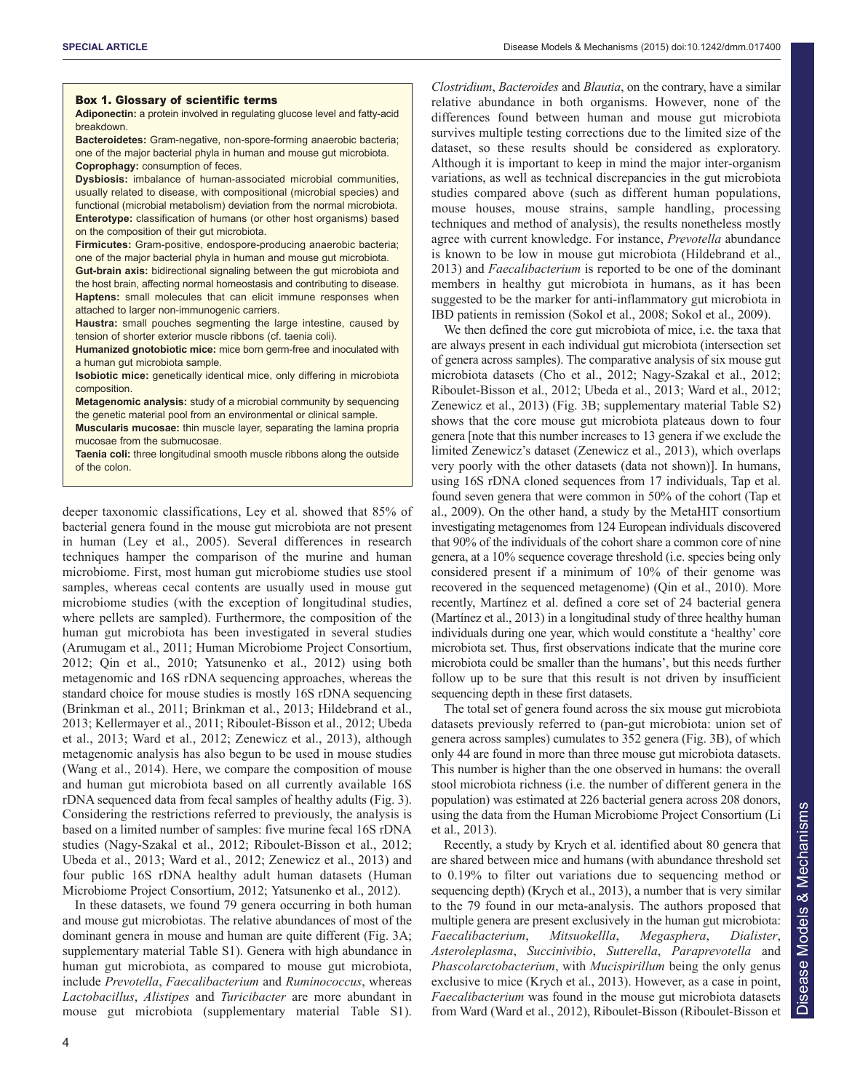#### Box 1. Glossary of scientific terms

**Adiponectin:** a protein involved in regulating glucose level and fatty-acid breakdown.

**Bacteroidetes:** Gram-negative, non-spore-forming anaerobic bacteria; one of the major bacterial phyla in human and mouse gut microbiota. **Coprophagy:** consumption of feces.

**Dysbiosis:** imbalance of human-associated microbial communities, usually related to disease, with compositional (microbial species) and functional (microbial metabolism) deviation from the normal microbiota. **Enterotype:** classification of humans (or other host organisms) based on the composition of their gut microbiota.

**Firmicutes:** Gram-positive, endospore-producing anaerobic bacteria; one of the major bacterial phyla in human and mouse gut microbiota.

**Gut-brain axis:** bidirectional signaling between the gut microbiota and the host brain, affecting normal homeostasis and contributing to disease. **Haptens:** small molecules that can elicit immune responses when attached to larger non-immunogenic carriers.

**Haustra:** small pouches segmenting the large intestine, caused by tension of shorter exterior muscle ribbons (cf. taenia coli).

**Humanized gnotobiotic mice:** mice born germ-free and inoculated with a human gut microbiota sample.

**Isobiotic mice:** genetically identical mice, only differing in microbiota composition.

**Metagenomic analysis:** study of a microbial community by sequencing the genetic material pool from an environmental or clinical sample.

**Muscularis mucosae:** thin muscle layer, separating the lamina propria mucosae from the submucosae.

**Taenia coli:** three longitudinal smooth muscle ribbons along the outside of the colon.

deeper taxonomic classifications, Ley et al. showed that 85% of bacterial genera found in the mouse gut microbiota are not present in human (Ley et al., 2005). Several differences in research techniques hamper the comparison of the murine and human microbiome. First, most human gut microbiome studies use stool samples, whereas cecal contents are usually used in mouse gut microbiome studies (with the exception of longitudinal studies, where pellets are sampled). Furthermore, the composition of the human gut microbiota has been investigated in several studies (Arumugam et al., 2011; Human Microbiome Project Consortium, 2012; Qin et al., 2010; Yatsunenko et al., 2012) using both metagenomic and 16S rDNA sequencing approaches, whereas the standard choice for mouse studies is mostly 16S rDNA sequencing (Brinkman et al., 2011; Brinkman et al., 2013; Hildebrand et al., 2013; Kellermayer et al., 2011; Riboulet-Bisson et al., 2012; Ubeda et al., 2013; Ward et al., 2012; Zenewicz et al., 2013), although metagenomic analysis has also begun to be used in mouse studies (Wang et al., 2014). Here, we compare the composition of mouse and human gut microbiota based on all currently available 16S rDNA sequenced data from fecal samples of healthy adults (Fig. 3). Considering the restrictions referred to previously, the analysis is based on a limited number of samples: five murine fecal 16S rDNA studies (Nagy-Szakal et al., 2012; Riboulet-Bisson et al., 2012; Ubeda et al., 2013; Ward et al., 2012; Zenewicz et al., 2013) and four public 16S rDNA healthy adult human datasets (Human Microbiome Project Consortium, 2012; Yatsunenko et al., 2012).

In these datasets, we found 79 genera occurring in both human and mouse gut microbiotas. The relative abundances of most of the dominant genera in mouse and human are quite different (Fig. 3A; supplementary material Table S1). Genera with high abundance in human gut microbiota, as compared to mouse gut microbiota, include *Prevotella*, *Faecalibacterium* and *Ruminococcus*, whereas *Lactobacillus*, *Alistipes* and *Turicibacter* are more abundant in mouse gut microbiota (supplementary material Table S1).

*Clostridium*, *Bacteroides* and *Blautia*, on the contrary, have a similar relative abundance in both organisms. However, none of the differences found between human and mouse gut microbiota survives multiple testing corrections due to the limited size of the dataset, so these results should be considered as exploratory. Although it is important to keep in mind the major inter-organism variations, as well as technical discrepancies in the gut microbiota studies compared above (such as different human populations, mouse houses, mouse strains, sample handling, processing techniques and method of analysis), the results nonetheless mostly agree with current knowledge. For instance, *Prevotella* abundance is known to be low in mouse gut microbiota (Hildebrand et al., 2013) and *Faecalibacterium* is reported to be one of the dominant members in healthy gut microbiota in humans, as it has been suggested to be the marker for anti-inflammatory gut microbiota in IBD patients in remission (Sokol et al., 2008; Sokol et al., 2009).

We then defined the core gut microbiota of mice, i.e. the taxa that are always present in each individual gut microbiota (intersection set of genera across samples). The comparative analysis of six mouse gut microbiota datasets (Cho et al., 2012; Nagy-Szakal et al., 2012; Riboulet-Bisson et al., 2012; Ubeda et al., 2013; Ward et al., 2012; Zenewicz et al., 2013) (Fig. 3B; supplementary material Table S2) shows that the core mouse gut microbiota plateaus down to four genera [note that this number increases to 13 genera if we exclude the limited Zenewicz's dataset (Zenewicz et al., 2013), which overlaps very poorly with the other datasets (data not shown)]. In humans, using 16S rDNA cloned sequences from 17 individuals, Tap et al. found seven genera that were common in 50% of the cohort (Tap et al., 2009). On the other hand, a study by the MetaHIT consortium investigating metagenomes from 124 European individuals discovered that 90% of the individuals of the cohort share a common core of nine genera, at a 10% sequence coverage threshold (i.e. species being only considered present if a minimum of 10% of their genome was recovered in the sequenced metagenome) (Qin et al., 2010). More recently, Martínez et al. defined a core set of 24 bacterial genera (Martínez et al., 2013) in a longitudinal study of three healthy human individuals during one year, which would constitute a 'healthy' core microbiota set. Thus, first observations indicate that the murine core microbiota could be smaller than the humans', but this needs further follow up to be sure that this result is not driven by insufficient sequencing depth in these first datasets.

The total set of genera found across the six mouse gut microbiota datasets previously referred to (pan-gut microbiota: union set of genera across samples) cumulates to 352 genera (Fig. 3B), of which only 44 are found in more than three mouse gut microbiota datasets. This number is higher than the one observed in humans: the overall stool microbiota richness (i.e. the number of different genera in the population) was estimated at 226 bacterial genera across 208 donors, using the data from the Human Microbiome Project Consortium (Li et al., 2013).

Recently, a study by Krych et al. identified about 80 genera that are shared between mice and humans (with abundance threshold set to 0.19% to filter out variations due to sequencing method or sequencing depth) (Krych et al., 2013), a number that is very similar to the 79 found in our meta-analysis. The authors proposed that multiple genera are present exclusively in the human gut microbiota: *Faecalibacterium*, *Mitsuokellla*, *Megasphera*, *Dialister*, *Asteroleplasma*, *Succinivibio*, *Sutterella*, *Paraprevotella* and *Phascolarctobacterium*, with *Mucispirillum* being the only genus exclusive to mice (Krych et al., 2013). However, as a case in point, *Faecalibacterium* was found in the mouse gut microbiota datasets from Ward (Ward et al., 2012), Riboulet-Bisson (Riboulet-Bisson et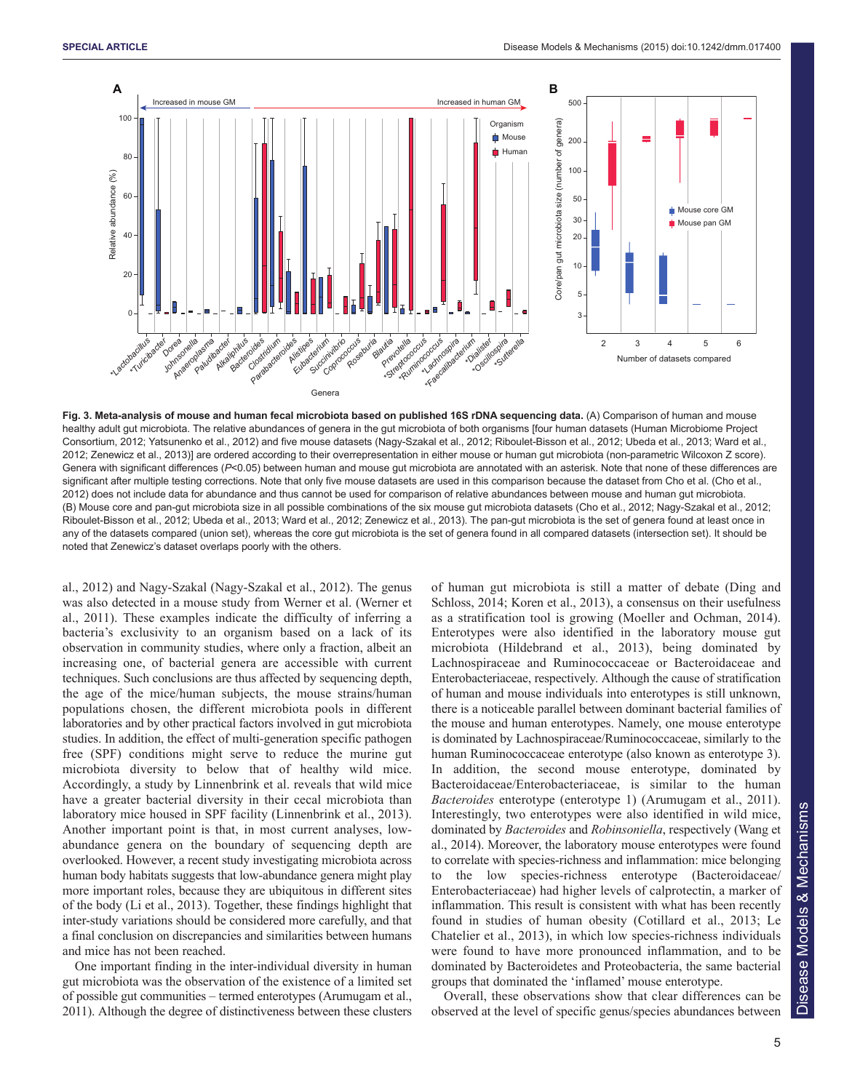

**Fig. 3. Meta-analysis of mouse and human fecal microbiota based on published 16S rDNA sequencing data.** (A) Comparison of human and mouse healthy adult gut microbiota. The relative abundances of genera in the gut microbiota of both organisms [four human datasets (Human Microbiome Project Consortium, 2012; Yatsunenko et al., 2012) and five mouse datasets (Nagy-Szakal et al., 2012; Riboulet-Bisson et al., 2012; Ubeda et al., 2013; Ward et al., 2012; Zenewicz et al., 2013)] are ordered according to their overrepresentation in either mouse or human gut microbiota (non-parametric Wilcoxon Z score). Genera with significant differences (P<0.05) between human and mouse gut microbiota are annotated with an asterisk. Note that none of these differences are significant after multiple testing corrections. Note that only five mouse datasets are used in this comparison because the dataset from Cho et al. (Cho et al., 2012) does not include data for abundance and thus cannot be used for comparison of relative abundances between mouse and human gut microbiota. (B) Mouse core and pan-gut microbiota size in all possible combinations of the six mouse gut microbiota datasets (Cho et al., 2012; Nagy-Szakal et al., 2012; Riboulet-Bisson et al., 2012; Ubeda et al., 2013; Ward et al., 2012; Zenewicz et al., 2013). The pan-gut microbiota is the set of genera found at least once in any of the datasets compared (union set), whereas the core gut microbiota is the set of genera found in all compared datasets (intersection set). It should be noted that Zenewicz's dataset overlaps poorly with the others.

al., 2012) and Nagy-Szakal (Nagy-Szakal et al., 2012). The genus was also detected in a mouse study from Werner et al. (Werner et al., 2011). These examples indicate the difficulty of inferring a bacteria's exclusivity to an organism based on a lack of its observation in community studies, where only a fraction, albeit an increasing one, of bacterial genera are accessible with current techniques. Such conclusions are thus affected by sequencing depth, the age of the mice/human subjects, the mouse strains/human populations chosen, the different microbiota pools in different laboratories and by other practical factors involved in gut microbiota studies. In addition, the effect of multi-generation specific pathogen free (SPF) conditions might serve to reduce the murine gut microbiota diversity to below that of healthy wild mice. Accordingly, a study by Linnenbrink et al. reveals that wild mice have a greater bacterial diversity in their cecal microbiota than laboratory mice housed in SPF facility (Linnenbrink et al., 2013). Another important point is that, in most current analyses, lowabundance genera on the boundary of sequencing depth are overlooked. However, a recent study investigating microbiota across human body habitats suggests that low-abundance genera might play more important roles, because they are ubiquitous in different sites of the body (Li et al., 2013). Together, these findings highlight that inter-study variations should be considered more carefully, and that a final conclusion on discrepancies and similarities between humans and mice has not been reached.

One important finding in the inter-individual diversity in human gut microbiota was the observation of the existence of a limited set of possible gut communities – termed enterotypes (Arumugam et al., 2011). Although the degree of distinctiveness between these clusters

of human gut microbiota is still a matter of debate (Ding and Schloss, 2014; Koren et al., 2013), a consensus on their usefulness as a stratification tool is growing (Moeller and Ochman, 2014). Enterotypes were also identified in the laboratory mouse gut microbiota (Hildebrand et al., 2013), being dominated by Lachnospiraceae and Ruminococcaceae or Bacteroidaceae and Enterobacteriaceae, respectively. Although the cause of stratification of human and mouse individuals into enterotypes is still unknown, there is a noticeable parallel between dominant bacterial families of the mouse and human enterotypes. Namely, one mouse enterotype is dominated by Lachnospiraceae/Ruminococcaceae, similarly to the human Ruminococcaceae enterotype (also known as enterotype 3). In addition, the second mouse enterotype, dominated by Bacteroidaceae/Enterobacteriaceae, is similar to the human *Bacteroides* enterotype (enterotype 1) (Arumugam et al., 2011). Interestingly, two enterotypes were also identified in wild mice, dominated by *Bacteroides* and *Robinsoniella*, respectively (Wang et al., 2014). Moreover, the laboratory mouse enterotypes were found to correlate with species-richness and inflammation: mice belonging to the low species-richness enterotype (Bacteroidaceae/ Enterobacteriaceae) had higher levels of calprotectin, a marker of inflammation. This result is consistent with what has been recently found in studies of human obesity (Cotillard et al., 2013; Le Chatelier et al., 2013), in which low species-richness individuals were found to have more pronounced inflammation, and to be dominated by Bacteroidetes and Proteobacteria, the same bacterial groups that dominated the 'inflamed' mouse enterotype.

Overall, these observations show that clear differences can be observed at the level of specific genus/species abundances between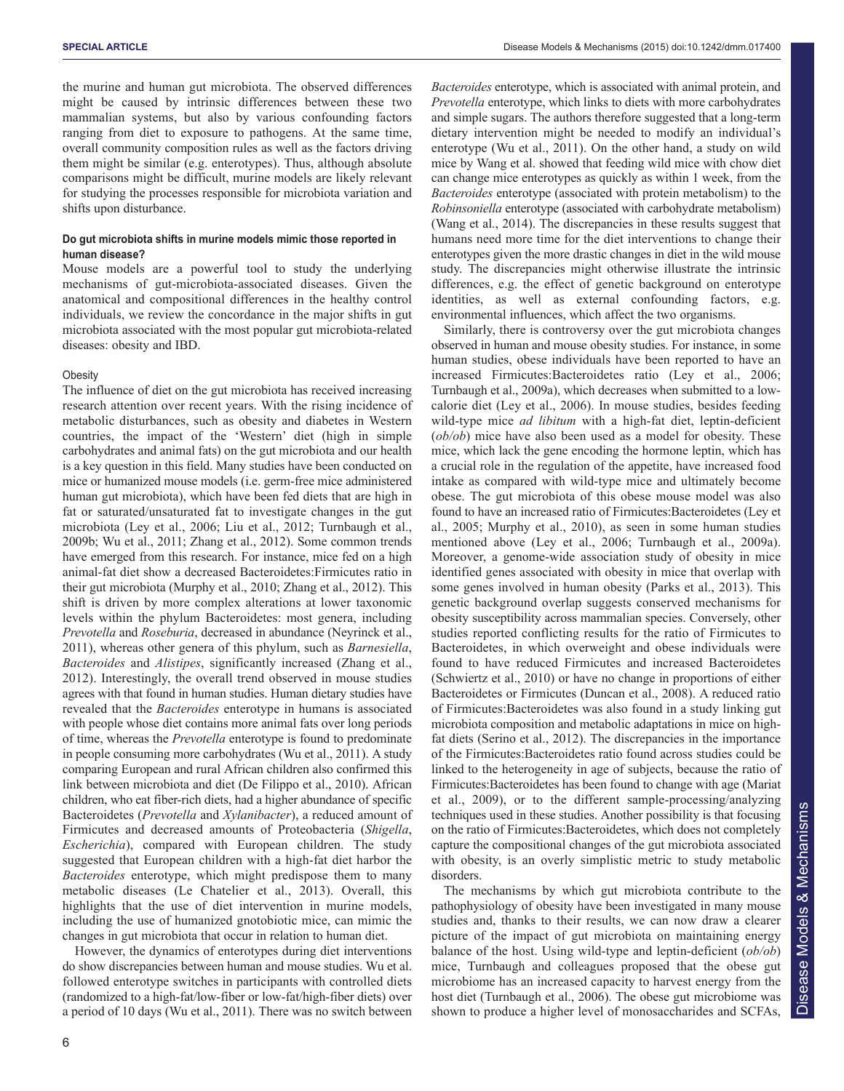the murine and human gut microbiota. The observed differences might be caused by intrinsic differences between these two mammalian systems, but also by various confounding factors ranging from diet to exposure to pathogens. At the same time, overall community composition rules as well as the factors driving them might be similar (e.g. enterotypes). Thus, although absolute comparisons might be difficult, murine models are likely relevant for studying the processes responsible for microbiota variation and shifts upon disturbance.

# **Do gut microbiota shifts in murine models mimic those reported in human disease?**

Mouse models are a powerful tool to study the underlying mechanisms of gut-microbiota-associated diseases. Given the anatomical and compositional differences in the healthy control individuals, we review the concordance in the major shifts in gut microbiota associated with the most popular gut microbiota-related diseases: obesity and IBD.

# **Obesity**

The influence of diet on the gut microbiota has received increasing research attention over recent years. With the rising incidence of metabolic disturbances, such as obesity and diabetes in Western countries, the impact of the 'Western' diet (high in simple carbohydrates and animal fats) on the gut microbiota and our health is a key question in this field. Many studies have been conducted on mice or humanized mouse models (i.e. germ-free mice administered human gut microbiota), which have been fed diets that are high in fat or saturated/unsaturated fat to investigate changes in the gut microbiota (Ley et al., 2006; Liu et al., 2012; Turnbaugh et al., 2009b; Wu et al., 2011; Zhang et al., 2012). Some common trends have emerged from this research. For instance, mice fed on a high animal-fat diet show a decreased Bacteroidetes:Firmicutes ratio in their gut microbiota (Murphy et al., 2010; Zhang et al., 2012). This shift is driven by more complex alterations at lower taxonomic levels within the phylum Bacteroidetes: most genera, including *Prevotella* and *Roseburia*, decreased in abundance (Neyrinck et al., 2011), whereas other genera of this phylum, such as *Barnesiella*, *Bacteroides* and *Alistipes*, significantly increased (Zhang et al., 2012). Interestingly, the overall trend observed in mouse studies agrees with that found in human studies. Human dietary studies have revealed that the *Bacteroides* enterotype in humans is associated with people whose diet contains more animal fats over long periods of time, whereas the *Prevotella* enterotype is found to predominate in people consuming more carbohydrates (Wu et al., 2011). A study comparing European and rural African children also confirmed this link between microbiota and diet (De Filippo et al., 2010). African children, who eat fiber-rich diets, had a higher abundance of specific Bacteroidetes (*Prevotella* and *Xylanibacter*), a reduced amount of Firmicutes and decreased amounts of Proteobacteria (*Shigella*, *Escherichia*), compared with European children. The study suggested that European children with a high-fat diet harbor the *Bacteroides* enterotype, which might predispose them to many metabolic diseases (Le Chatelier et al., 2013). Overall, this highlights that the use of diet intervention in murine models, including the use of humanized gnotobiotic mice, can mimic the changes in gut microbiota that occur in relation to human diet.

However, the dynamics of enterotypes during diet interventions do show discrepancies between human and mouse studies. Wu et al. followed enterotype switches in participants with controlled diets (randomized to a high-fat/low-fiber or low-fat/high-fiber diets) over a period of 10 days (Wu et al., 2011). There was no switch between *Bacteroides* enterotype, which is associated with animal protein, and *Prevotella* enterotype, which links to diets with more carbohydrates and simple sugars. The authors therefore suggested that a long-term dietary intervention might be needed to modify an individual's enterotype (Wu et al., 2011). On the other hand, a study on wild mice by Wang et al. showed that feeding wild mice with chow diet can change mice enterotypes as quickly as within 1 week, from the *Bacteroides* enterotype (associated with protein metabolism) to the *Robinsoniella* enterotype (associated with carbohydrate metabolism) (Wang et al., 2014). The discrepancies in these results suggest that humans need more time for the diet interventions to change their enterotypes given the more drastic changes in diet in the wild mouse study. The discrepancies might otherwise illustrate the intrinsic differences, e.g. the effect of genetic background on enterotype identities, as well as external confounding factors, e.g. environmental influences, which affect the two organisms.

Similarly, there is controversy over the gut microbiota changes observed in human and mouse obesity studies. For instance, in some human studies, obese individuals have been reported to have an increased Firmicutes:Bacteroidetes ratio (Ley et al., 2006; Turnbaugh et al., 2009a), which decreases when submitted to a lowcalorie diet (Ley et al., 2006). In mouse studies, besides feeding wild-type mice *ad libitum* with a high-fat diet, leptin-deficient (*ob/ob*) mice have also been used as a model for obesity. These mice, which lack the gene encoding the hormone leptin, which has a crucial role in the regulation of the appetite, have increased food intake as compared with wild-type mice and ultimately become obese. The gut microbiota of this obese mouse model was also found to have an increased ratio of Firmicutes:Bacteroidetes (Ley et al., 2005; Murphy et al., 2010), as seen in some human studies mentioned above (Ley et al., 2006; Turnbaugh et al., 2009a). Moreover, a genome-wide association study of obesity in mice identified genes associated with obesity in mice that overlap with some genes involved in human obesity (Parks et al., 2013). This genetic background overlap suggests conserved mechanisms for obesity susceptibility across mammalian species. Conversely, other studies reported conflicting results for the ratio of Firmicutes to Bacteroidetes, in which overweight and obese individuals were found to have reduced Firmicutes and increased Bacteroidetes (Schwiertz et al., 2010) or have no change in proportions of either Bacteroidetes or Firmicutes (Duncan et al., 2008). A reduced ratio of Firmicutes:Bacteroidetes was also found in a study linking gut microbiota composition and metabolic adaptations in mice on highfat diets (Serino et al., 2012). The discrepancies in the importance of the Firmicutes:Bacteroidetes ratio found across studies could be linked to the heterogeneity in age of subjects, because the ratio of Firmicutes:Bacteroidetes has been found to change with age (Mariat et al., 2009), or to the different sample-processing/analyzing techniques used in these studies. Another possibility is that focusing on the ratio of Firmicutes:Bacteroidetes, which does not completely capture the compositional changes of the gut microbiota associated with obesity, is an overly simplistic metric to study metabolic disorders.

The mechanisms by which gut microbiota contribute to the pathophysiology of obesity have been investigated in many mouse studies and, thanks to their results, we can now draw a clearer picture of the impact of gut microbiota on maintaining energy balance of the host. Using wild-type and leptin-deficient (*ob/ob*) mice, Turnbaugh and colleagues proposed that the obese gut microbiome has an increased capacity to harvest energy from the host diet (Turnbaugh et al., 2006). The obese gut microbiome was shown to produce a higher level of monosaccharides and SCFAs,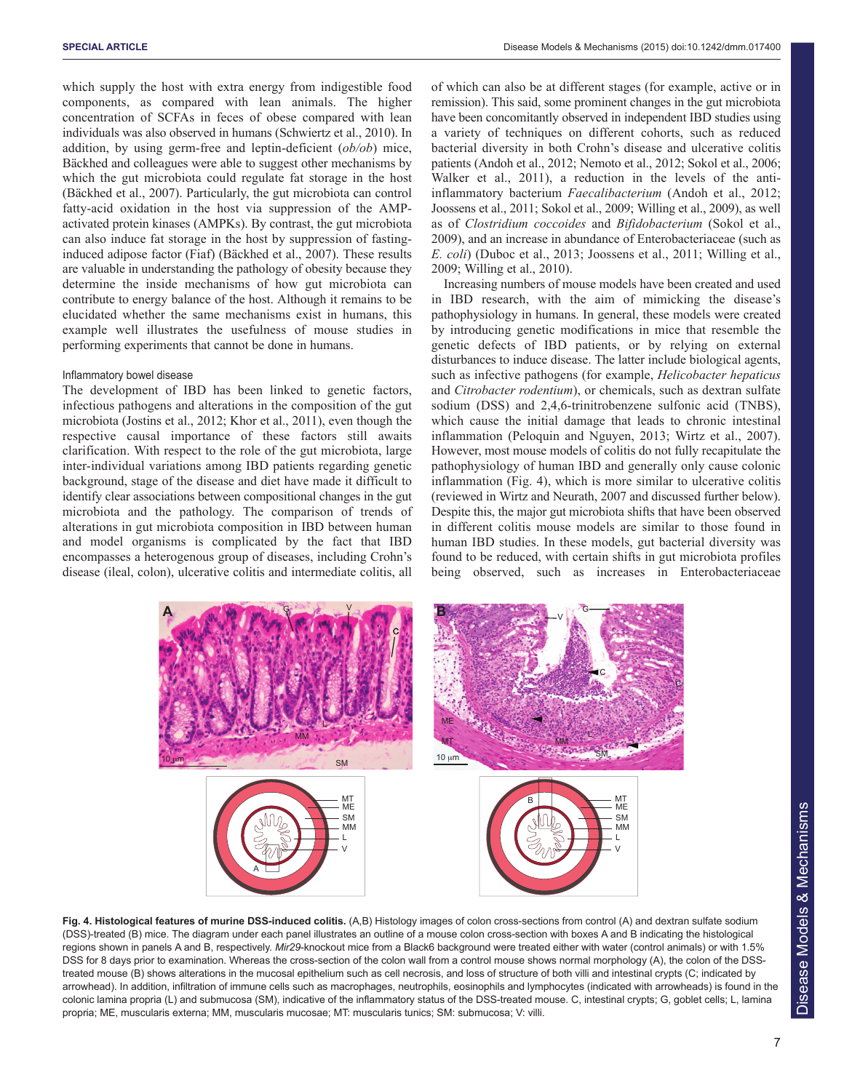which supply the host with extra energy from indigestible food components, as compared with lean animals. The higher concentration of SCFAs in feces of obese compared with lean individuals was also observed in humans (Schwiertz et al., 2010). In addition, by using germ-free and leptin-deficient (*ob/ob*) mice, Bäckhed and colleagues were able to suggest other mechanisms by which the gut microbiota could regulate fat storage in the host (Bäckhed et al., 2007). Particularly, the gut microbiota can control fatty-acid oxidation in the host via suppression of the AMPactivated protein kinases (AMPKs). By contrast, the gut microbiota can also induce fat storage in the host by suppression of fastinginduced adipose factor (Fiaf) (Bäckhed et al., 2007). These results are valuable in understanding the pathology of obesity because they determine the inside mechanisms of how gut microbiota can contribute to energy balance of the host. Although it remains to be elucidated whether the same mechanisms exist in humans, this example well illustrates the usefulness of mouse studies in performing experiments that cannot be done in humans.

## Inflammatory bowel disease

The development of IBD has been linked to genetic factors, infectious pathogens and alterations in the composition of the gut microbiota (Jostins et al., 2012; Khor et al., 2011), even though the respective causal importance of these factors still awaits clarification. With respect to the role of the gut microbiota, large inter-individual variations among IBD patients regarding genetic background, stage of the disease and diet have made it difficult to identify clear associations between compositional changes in the gut microbiota and the pathology. The comparison of trends of alterations in gut microbiota composition in IBD between human and model organisms is complicated by the fact that IBD encompasses a heterogenous group of diseases, including Crohn's disease (ileal, colon), ulcerative colitis and intermediate colitis, all of which can also be at different stages (for example, active or in remission). This said, some prominent changes in the gut microbiota have been concomitantly observed in independent IBD studies using a variety of techniques on different cohorts, such as reduced bacterial diversity in both Crohn's disease and ulcerative colitis patients (Andoh et al., 2012; Nemoto et al., 2012; Sokol et al., 2006; Walker et al., 2011), a reduction in the levels of the antiinflammatory bacterium *Faecalibacterium* (Andoh et al., 2012; Joossens et al., 2011; Sokol et al., 2009; Willing et al., 2009), as well as of *Clostridium coccoides* and *Bifidobacterium* (Sokol et al., 2009), and an increase in abundance of Enterobacteriaceae (such as *E. coli*) (Duboc et al., 2013; Joossens et al., 2011; Willing et al., 2009; Willing et al., 2010).

Increasing numbers of mouse models have been created and used in IBD research, with the aim of mimicking the disease's pathophysiology in humans. In general, these models were created by introducing genetic modifications in mice that resemble the genetic defects of IBD patients, or by relying on external disturbances to induce disease. The latter include biological agents, such as infective pathogens (for example, *Helicobacter hepaticus* and *Citrobacter rodentium*), or chemicals, such as dextran sulfate sodium (DSS) and 2,4,6-trinitrobenzene sulfonic acid (TNBS), which cause the initial damage that leads to chronic intestinal inflammation (Peloquin and Nguyen, 2013; Wirtz et al., 2007). However, most mouse models of colitis do not fully recapitulate the pathophysiology of human IBD and generally only cause colonic inflammation (Fig. 4), which is more similar to ulcerative colitis (reviewed in Wirtz and Neurath, 2007 and discussed further below). Despite this, the major gut microbiota shifts that have been observed in different colitis mouse models are similar to those found in human IBD studies. In these models, gut bacterial diversity was found to be reduced, with certain shifts in gut microbiota profiles being observed, such as increases in Enterobacteriaceae



**Fig. 4. Histological features of murine DSS-induced colitis.** (A,B) Histology images of colon cross-sections from control (A) and dextran sulfate sodium (DSS)-treated (B) mice. The diagram under each panel illustrates an outline of a mouse colon cross-section with boxes A and B indicating the histological regions shown in panels A and B, respectively. *Mir29*-knockout mice from a Black6 background were treated either with water (control animals) or with 1.5% DSS for 8 days prior to examination. Whereas the cross-section of the colon wall from a control mouse shows normal morphology (A), the colon of the DSStreated mouse (B) shows alterations in the mucosal epithelium such as cell necrosis, and loss of structure of both villi and intestinal crypts (C; indicated by arrowhead). In addition, infiltration of immune cells such as macrophages, neutrophils, eosinophils and lymphocytes (indicated with arrowheads) is found in the colonic lamina propria (L) and submucosa (SM), indicative of the inflammatory status of the DSS-treated mouse. C, intestinal crypts; G, goblet cells; L, lamina propria; ME, muscularis externa; MM, muscularis mucosae; MT: muscularis tunics; SM: submucosa; V: villi.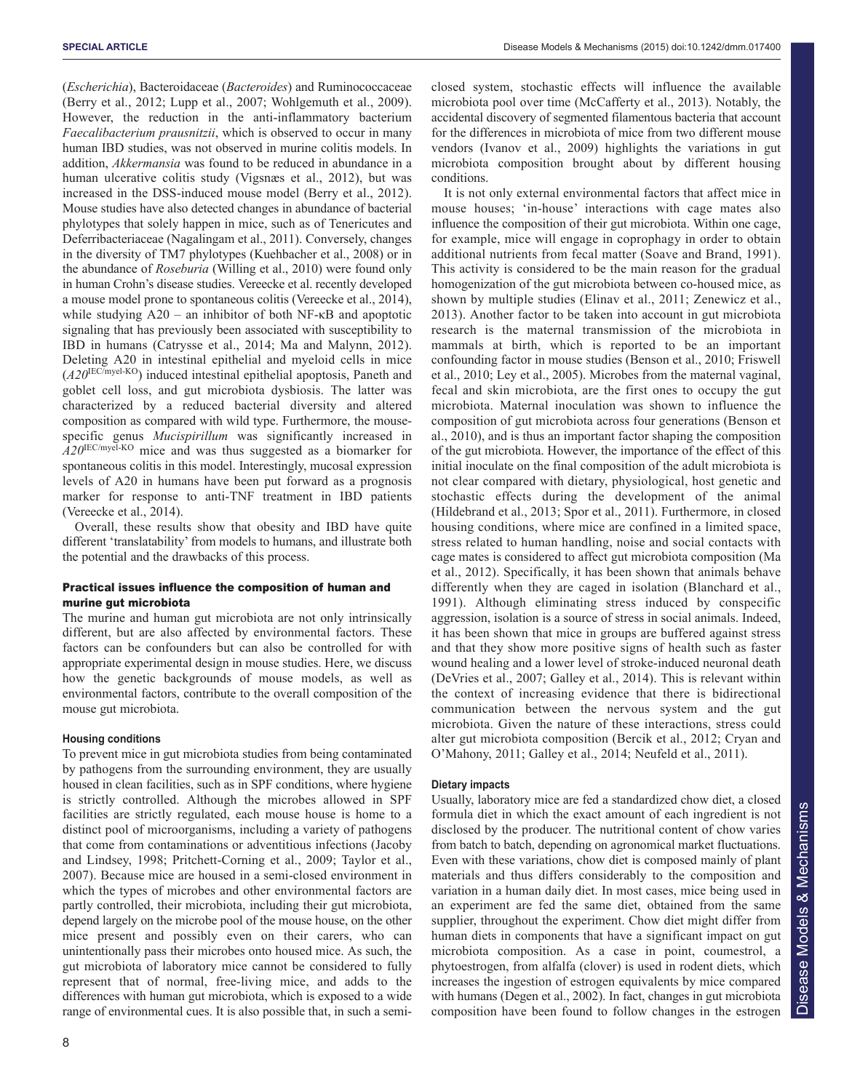(*Escherichia*), Bacteroidaceae (*Bacteroides*) and Ruminococcaceae (Berry et al., 2012; Lupp et al., 2007; Wohlgemuth et al., 2009). However, the reduction in the anti-inflammatory bacterium *Faecalibacterium prausnitzii*, which is observed to occur in many human IBD studies, was not observed in murine colitis models. In addition, *Akkermansia* was found to be reduced in abundance in a human ulcerative colitis study (Vigsnæs et al., 2012), but was increased in the DSS-induced mouse model (Berry et al., 2012). Mouse studies have also detected changes in abundance of bacterial phylotypes that solely happen in mice, such as of Tenericutes and Deferribacteriaceae (Nagalingam et al., 2011). Conversely, changes in the diversity of TM7 phylotypes (Kuehbacher et al., 2008) or in the abundance of *Roseburia* (Willing et al., 2010) were found only in human Crohn's disease studies. Vereecke et al. recently developed a mouse model prone to spontaneous colitis (Vereecke et al., 2014), while studying A20 – an inhibitor of both NF-κB and apoptotic signaling that has previously been associated with susceptibility to IBD in humans (Catrysse et al., 2014; Ma and Malynn, 2012). Deleting A20 in intestinal epithelial and myeloid cells in mice (*A20*IEC/myel-KO) induced intestinal epithelial apoptosis, Paneth and goblet cell loss, and gut microbiota dysbiosis. The latter was characterized by a reduced bacterial diversity and altered composition as compared with wild type. Furthermore, the mousespecific genus *Mucispirillum* was significantly increased in *A20*IEC/myel-KO mice and was thus suggested as a biomarker for spontaneous colitis in this model. Interestingly, mucosal expression levels of A20 in humans have been put forward as a prognosis marker for response to anti-TNF treatment in IBD patients (Vereecke et al., 2014).

Overall, these results show that obesity and IBD have quite different 'translatability' from models to humans, and illustrate both the potential and the drawbacks of this process.

# Practical issues influence the composition of human and murine gut microbiota

The murine and human gut microbiota are not only intrinsically different, but are also affected by environmental factors. These factors can be confounders but can also be controlled for with appropriate experimental design in mouse studies. Here, we discuss how the genetic backgrounds of mouse models, as well as environmental factors, contribute to the overall composition of the mouse gut microbiota.

# **Housing conditions**

To prevent mice in gut microbiota studies from being contaminated by pathogens from the surrounding environment, they are usually housed in clean facilities, such as in SPF conditions, where hygiene is strictly controlled. Although the microbes allowed in SPF facilities are strictly regulated, each mouse house is home to a distinct pool of microorganisms, including a variety of pathogens that come from contaminations or adventitious infections (Jacoby and Lindsey, 1998; Pritchett-Corning et al., 2009; Taylor et al., 2007). Because mice are housed in a semi-closed environment in which the types of microbes and other environmental factors are partly controlled, their microbiota, including their gut microbiota, depend largely on the microbe pool of the mouse house, on the other mice present and possibly even on their carers, who can unintentionally pass their microbes onto housed mice. As such, the gut microbiota of laboratory mice cannot be considered to fully represent that of normal, free-living mice, and adds to the differences with human gut microbiota, which is exposed to a wide range of environmental cues. It is also possible that, in such a semiclosed system, stochastic effects will influence the available microbiota pool over time (McCafferty et al., 2013). Notably, the accidental discovery of segmented filamentous bacteria that account for the differences in microbiota of mice from two different mouse vendors (Ivanov et al., 2009) highlights the variations in gut microbiota composition brought about by different housing conditions.

It is not only external environmental factors that affect mice in mouse houses; 'in-house' interactions with cage mates also influence the composition of their gut microbiota. Within one cage, for example, mice will engage in coprophagy in order to obtain additional nutrients from fecal matter (Soave and Brand, 1991). This activity is considered to be the main reason for the gradual homogenization of the gut microbiota between co-housed mice, as shown by multiple studies (Elinav et al., 2011; Zenewicz et al., 2013). Another factor to be taken into account in gut microbiota research is the maternal transmission of the microbiota in mammals at birth, which is reported to be an important confounding factor in mouse studies (Benson et al., 2010; Friswell et al., 2010; Ley et al., 2005). Microbes from the maternal vaginal, fecal and skin microbiota, are the first ones to occupy the gut microbiota. Maternal inoculation was shown to influence the composition of gut microbiota across four generations (Benson et al., 2010), and is thus an important factor shaping the composition of the gut microbiota. However, the importance of the effect of this initial inoculate on the final composition of the adult microbiota is not clear compared with dietary, physiological, host genetic and stochastic effects during the development of the animal (Hildebrand et al., 2013; Spor et al., 2011). Furthermore, in closed housing conditions, where mice are confined in a limited space, stress related to human handling, noise and social contacts with cage mates is considered to affect gut microbiota composition (Ma et al., 2012). Specifically, it has been shown that animals behave differently when they are caged in isolation (Blanchard et al., 1991). Although eliminating stress induced by conspecific aggression, isolation is a source of stress in social animals. Indeed, it has been shown that mice in groups are buffered against stress and that they show more positive signs of health such as faster wound healing and a lower level of stroke-induced neuronal death (DeVries et al., 2007; Galley et al., 2014). This is relevant within the context of increasing evidence that there is bidirectional communication between the nervous system and the gut microbiota. Given the nature of these interactions, stress could alter gut microbiota composition (Bercik et al., 2012; Cryan and O'Mahony, 2011; Galley et al., 2014; Neufeld et al., 2011).

# **Dietary impacts**

Usually, laboratory mice are fed a standardized chow diet, a closed formula diet in which the exact amount of each ingredient is not disclosed by the producer. The nutritional content of chow varies from batch to batch, depending on agronomical market fluctuations. Even with these variations, chow diet is composed mainly of plant materials and thus differs considerably to the composition and variation in a human daily diet. In most cases, mice being used in an experiment are fed the same diet, obtained from the same supplier, throughout the experiment. Chow diet might differ from human diets in components that have a significant impact on gut microbiota composition. As a case in point, coumestrol, a phytoestrogen, from alfalfa (clover) is used in rodent diets, which increases the ingestion of estrogen equivalents by mice compared with humans (Degen et al., 2002). In fact, changes in gut microbiota composition have been found to follow changes in the estrogen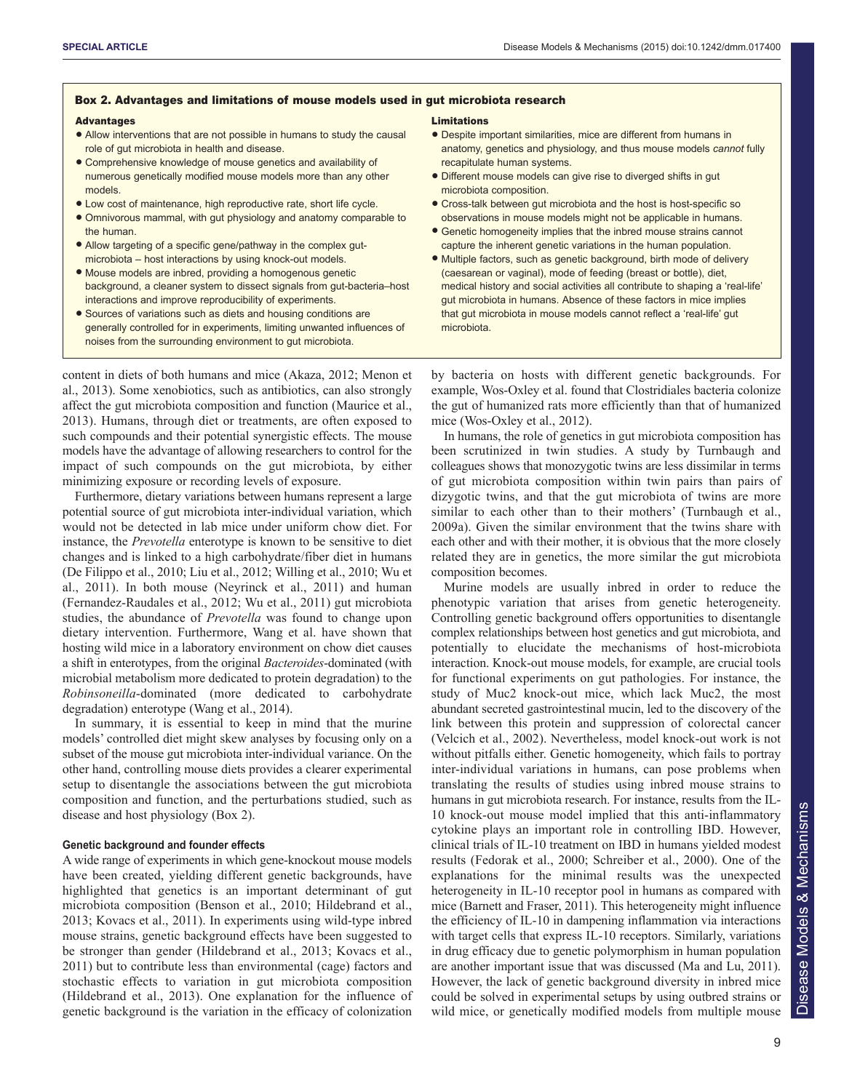#### Box 2. Advantages and limitations of mouse models used in gut microbiota research

#### **Advantages**

- Allow interventions that are not possible in humans to study the causal role of gut microbiota in health and disease.
- Comprehensive knowledge of mouse genetics and availability of numerous genetically modified mouse models more than any other models.
- Low cost of maintenance, high reproductive rate, short life cycle.
- Omnivorous mammal, with gut physiology and anatomy comparable to the human.
- Allow targeting of a specific gene/pathway in the complex gutmicrobiota – host interactions by using knock-out models.
- Mouse models are inbred, providing a homogenous genetic background, a cleaner system to dissect signals from gut-bacteria–host interactions and improve reproducibility of experiments.
- Sources of variations such as diets and housing conditions are generally controlled for in experiments, limiting unwanted influences of noises from the surrounding environment to gut microbiota.

content in diets of both humans and mice (Akaza, 2012; Menon et al., 2013). Some xenobiotics, such as antibiotics, can also strongly affect the gut microbiota composition and function (Maurice et al., 2013). Humans, through diet or treatments, are often exposed to such compounds and their potential synergistic effects. The mouse models have the advantage of allowing researchers to control for the impact of such compounds on the gut microbiota, by either minimizing exposure or recording levels of exposure.

Furthermore, dietary variations between humans represent a large potential source of gut microbiota inter-individual variation, which would not be detected in lab mice under uniform chow diet. For instance, the *Prevotella* enterotype is known to be sensitive to diet changes and is linked to a high carbohydrate/fiber diet in humans (De Filippo et al., 2010; Liu et al., 2012; Willing et al., 2010; Wu et al., 2011). In both mouse (Neyrinck et al., 2011) and human (Fernandez-Raudales et al., 2012; Wu et al., 2011) gut microbiota studies, the abundance of *Prevotella* was found to change upon dietary intervention. Furthermore, Wang et al. have shown that hosting wild mice in a laboratory environment on chow diet causes a shift in enterotypes, from the original *Bacteroides*-dominated (with microbial metabolism more dedicated to protein degradation) to the *Robinsoneilla*-dominated (more dedicated to carbohydrate degradation) enterotype (Wang et al., 2014).

In summary, it is essential to keep in mind that the murine models' controlled diet might skew analyses by focusing only on a subset of the mouse gut microbiota inter-individual variance. On the other hand, controlling mouse diets provides a clearer experimental setup to disentangle the associations between the gut microbiota composition and function, and the perturbations studied, such as disease and host physiology (Box 2).

#### **Genetic background and founder effects**

A wide range of experiments in which gene-knockout mouse models have been created, yielding different genetic backgrounds, have highlighted that genetics is an important determinant of gut microbiota composition (Benson et al., 2010; Hildebrand et al., 2013; Kovacs et al., 2011). In experiments using wild-type inbred mouse strains, genetic background effects have been suggested to be stronger than gender (Hildebrand et al., 2013; Kovacs et al., 2011) but to contribute less than environmental (cage) factors and stochastic effects to variation in gut microbiota composition (Hildebrand et al., 2013). One explanation for the influence of genetic background is the variation in the efficacy of colonization

#### Limitations

- Despite important similarities, mice are different from humans in anatomy, genetics and physiology, and thus mouse models *cannot* fully recapitulate human systems.
- Different mouse models can give rise to diverged shifts in gut microbiota composition.
- Cross-talk between gut microbiota and the host is host-specific so observations in mouse models might not be applicable in humans.
- Genetic homogeneity implies that the inbred mouse strains cannot capture the inherent genetic variations in the human population.
- Multiple factors, such as genetic background, birth mode of delivery (caesarean or vaginal), mode of feeding (breast or bottle), diet, medical history and social activities all contribute to shaping a 'real-life' gut microbiota in humans. Absence of these factors in mice implies that gut microbiota in mouse models cannot reflect a 'real-life' gut microbiota.

by bacteria on hosts with different genetic backgrounds. For example, Wos-Oxley et al. found that Clostridiales bacteria colonize the gut of humanized rats more efficiently than that of humanized mice (Wos-Oxley et al., 2012).

In humans, the role of genetics in gut microbiota composition has been scrutinized in twin studies. A study by Turnbaugh and colleagues shows that monozygotic twins are less dissimilar in terms of gut microbiota composition within twin pairs than pairs of dizygotic twins, and that the gut microbiota of twins are more similar to each other than to their mothers' (Turnbaugh et al., 2009a). Given the similar environment that the twins share with each other and with their mother, it is obvious that the more closely related they are in genetics, the more similar the gut microbiota composition becomes.

Murine models are usually inbred in order to reduce the phenotypic variation that arises from genetic heterogeneity. Controlling genetic background offers opportunities to disentangle complex relationships between host genetics and gut microbiota, and potentially to elucidate the mechanisms of host-microbiota interaction. Knock-out mouse models, for example, are crucial tools for functional experiments on gut pathologies. For instance, the study of Muc2 knock-out mice, which lack Muc2, the most abundant secreted gastrointestinal mucin, led to the discovery of the link between this protein and suppression of colorectal cancer (Velcich et al., 2002). Nevertheless, model knock-out work is not without pitfalls either. Genetic homogeneity, which fails to portray inter-individual variations in humans, can pose problems when translating the results of studies using inbred mouse strains to humans in gut microbiota research. For instance, results from the IL-10 knock-out mouse model implied that this anti-inflammatory cytokine plays an important role in controlling IBD. However, clinical trials of IL-10 treatment on IBD in humans yielded modest results (Fedorak et al., 2000; Schreiber et al., 2000). One of the explanations for the minimal results was the unexpected heterogeneity in IL-10 receptor pool in humans as compared with mice (Barnett and Fraser, 2011). This heterogeneity might influence the efficiency of IL-10 in dampening inflammation via interactions with target cells that express IL-10 receptors. Similarly, variations in drug efficacy due to genetic polymorphism in human population are another important issue that was discussed (Ma and Lu, 2011). However, the lack of genetic background diversity in inbred mice could be solved in experimental setups by using outbred strains or wild mice, or genetically modified models from multiple mouse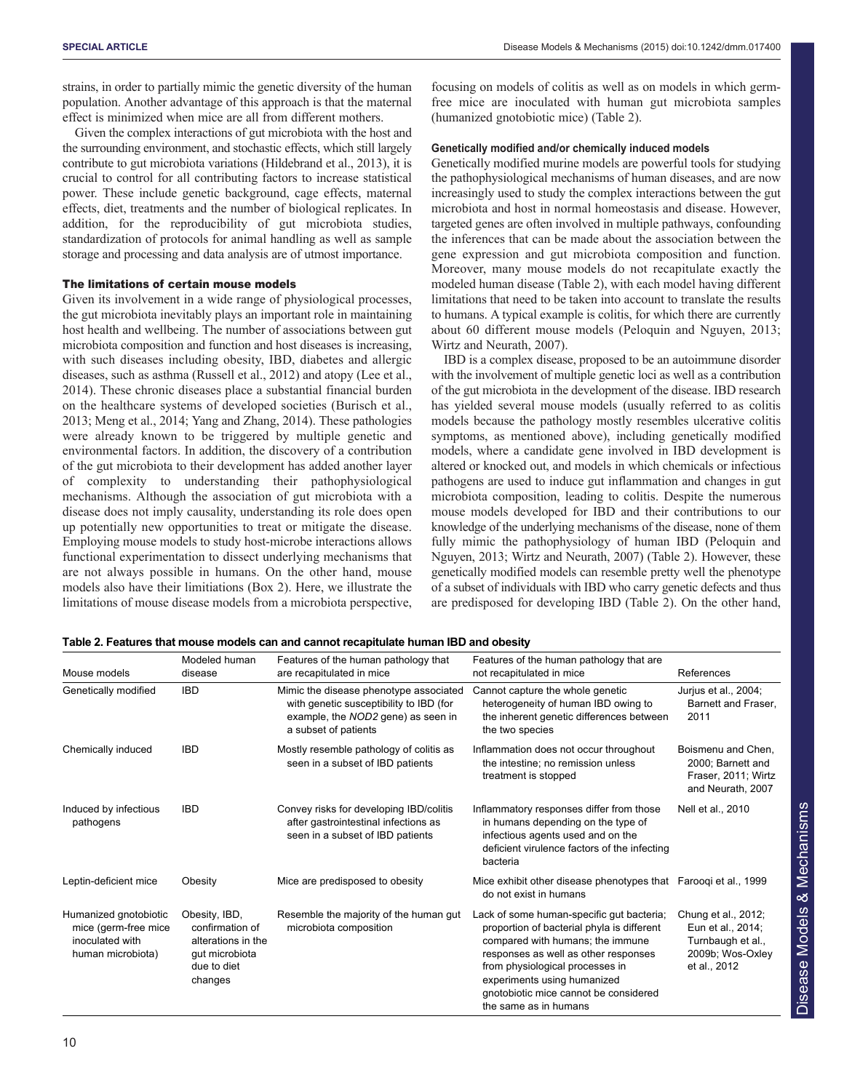strains, in order to partially mimic the genetic diversity of the human population. Another advantage of this approach is that the maternal effect is minimized when mice are all from different mothers.

Given the complex interactions of gut microbiota with the host and the surrounding environment, and stochastic effects, which still largely contribute to gut microbiota variations (Hildebrand et al., 2013), it is crucial to control for all contributing factors to increase statistical power. These include genetic background, cage effects, maternal effects, diet, treatments and the number of biological replicates. In addition, for the reproducibility of gut microbiota studies, standardization of protocols for animal handling as well as sample storage and processing and data analysis are of utmost importance.

## The limitations of certain mouse models

Given its involvement in a wide range of physiological processes, the gut microbiota inevitably plays an important role in maintaining host health and wellbeing. The number of associations between gut microbiota composition and function and host diseases is increasing, with such diseases including obesity, IBD, diabetes and allergic diseases, such as asthma (Russell et al., 2012) and atopy (Lee et al., 2014). These chronic diseases place a substantial financial burden on the healthcare systems of developed societies (Burisch et al., 2013; Meng et al., 2014; Yang and Zhang, 2014). These pathologies were already known to be triggered by multiple genetic and environmental factors. In addition, the discovery of a contribution of the gut microbiota to their development has added another layer of complexity to understanding their pathophysiological mechanisms. Although the association of gut microbiota with a disease does not imply causality, understanding its role does open up potentially new opportunities to treat or mitigate the disease. Employing mouse models to study host-microbe interactions allows functional experimentation to dissect underlying mechanisms that are not always possible in humans. On the other hand, mouse models also have their limitiations (Box 2). Here, we illustrate the limitations of mouse disease models from a microbiota perspective, focusing on models of colitis as well as on models in which germfree mice are inoculated with human gut microbiota samples (humanized gnotobiotic mice) (Table 2).

### **Genetically modified and/or chemically induced models**

Genetically modified murine models are powerful tools for studying the pathophysiological mechanisms of human diseases, and are now increasingly used to study the complex interactions between the gut microbiota and host in normal homeostasis and disease. However, targeted genes are often involved in multiple pathways, confounding the inferences that can be made about the association between the gene expression and gut microbiota composition and function. Moreover, many mouse models do not recapitulate exactly the modeled human disease (Table 2), with each model having different limitations that need to be taken into account to translate the results to humans. A typical example is colitis, for which there are currently about 60 different mouse models (Peloquin and Nguyen, 2013; Wirtz and Neurath, 2007).

IBD is a complex disease, proposed to be an autoimmune disorder with the involvement of multiple genetic loci as well as a contribution of the gut microbiota in the development of the disease. IBD research has yielded several mouse models (usually referred to as colitis models because the pathology mostly resembles ulcerative colitis symptoms, as mentioned above), including genetically modified models, where a candidate gene involved in IBD development is altered or knocked out, and models in which chemicals or infectious pathogens are used to induce gut inflammation and changes in gut microbiota composition, leading to colitis. Despite the numerous mouse models developed for IBD and their contributions to our knowledge of the underlying mechanisms of the disease, none of them fully mimic the pathophysiology of human IBD (Peloquin and Nguyen, 2013; Wirtz and Neurath, 2007) (Table 2). However, these genetically modified models can resemble pretty well the phenotype of a subset of individuals with IBD who carry genetic defects and thus are predisposed for developing IBD (Table 2). On the other hand,

| Mouse models                                                                          | Modeled human<br>disease                                                                           | Features of the human pathology that<br>are recapitulated in mice                                                                               | Features of the human pathology that are<br>not recapitulated in mice                                                                                                                                                                                                                                   | References                                                                                        |
|---------------------------------------------------------------------------------------|----------------------------------------------------------------------------------------------------|-------------------------------------------------------------------------------------------------------------------------------------------------|---------------------------------------------------------------------------------------------------------------------------------------------------------------------------------------------------------------------------------------------------------------------------------------------------------|---------------------------------------------------------------------------------------------------|
| Genetically modified                                                                  | <b>IBD</b>                                                                                         | Mimic the disease phenotype associated<br>with genetic susceptibility to IBD (for<br>example, the NOD2 gene) as seen in<br>a subset of patients | Cannot capture the whole genetic<br>heterogeneity of human IBD owing to<br>the inherent genetic differences between<br>the two species                                                                                                                                                                  | Jurius et al., 2004;<br>Barnett and Fraser,<br>2011                                               |
| Chemically induced                                                                    | <b>IBD</b>                                                                                         | Mostly resemble pathology of colitis as<br>seen in a subset of IBD patients                                                                     | Inflammation does not occur throughout<br>the intestine; no remission unless<br>treatment is stopped                                                                                                                                                                                                    | Boismenu and Chen,<br>2000; Barnett and<br>Fraser, 2011; Wirtz<br>and Neurath, 2007               |
| Induced by infectious<br>pathogens                                                    | <b>IBD</b>                                                                                         | Convey risks for developing IBD/colitis<br>after gastrointestinal infections as<br>seen in a subset of IBD patients                             | Inflammatory responses differ from those<br>in humans depending on the type of<br>infectious agents used and on the<br>deficient virulence factors of the infecting<br>bacteria                                                                                                                         | Nell et al., 2010                                                                                 |
| Leptin-deficient mice                                                                 | Obesity                                                                                            | Mice are predisposed to obesity                                                                                                                 | Mice exhibit other disease phenotypes that Faroogi et al., 1999<br>do not exist in humans                                                                                                                                                                                                               |                                                                                                   |
| Humanized gnotobiotic<br>mice (germ-free mice<br>inoculated with<br>human microbiota) | Obesity, IBD,<br>confirmation of<br>alterations in the<br>gut microbiota<br>due to diet<br>changes | Resemble the majority of the human gut<br>microbiota composition                                                                                | Lack of some human-specific gut bacteria;<br>proportion of bacterial phyla is different<br>compared with humans; the immune<br>responses as well as other responses<br>from physiological processes in<br>experiments using humanized<br>gnotobiotic mice cannot be considered<br>the same as in humans | Chung et al., 2012;<br>Eun et al., 2014;<br>Turnbaugh et al.,<br>2009b; Wos-Oxley<br>et al., 2012 |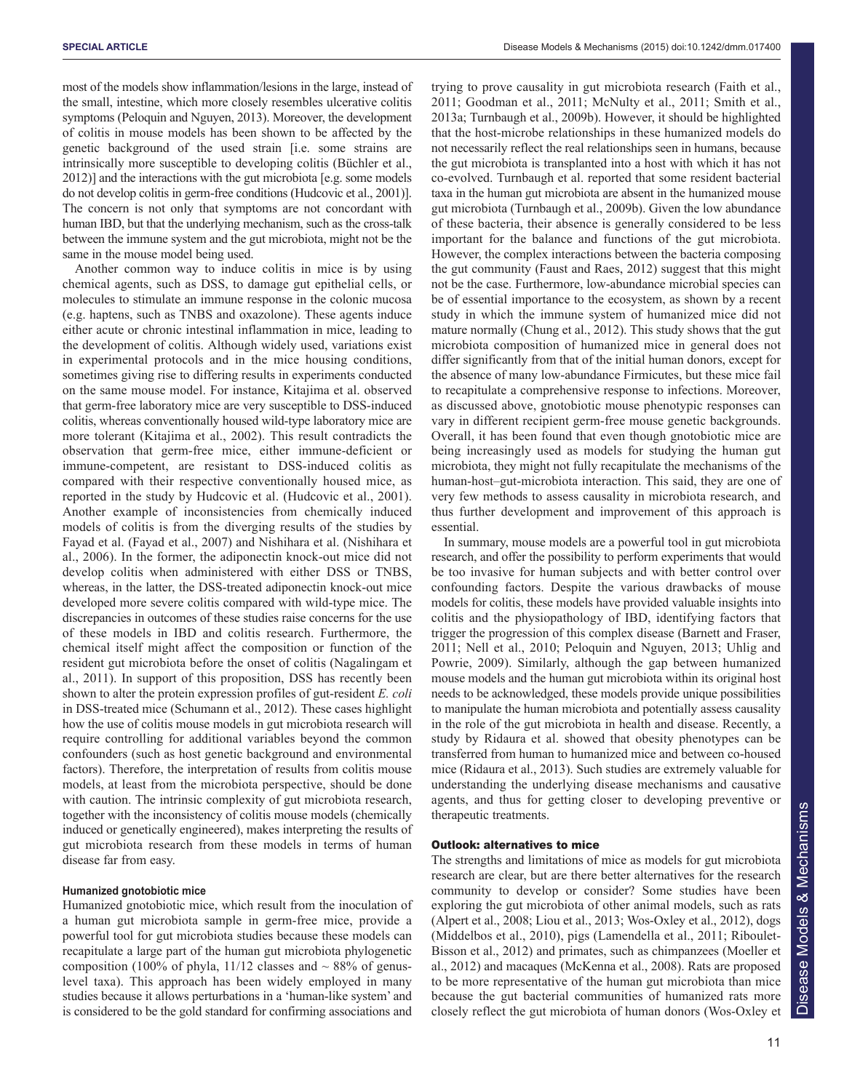most of the models show inflammation/lesions in the large, instead of the small, intestine, which more closely resembles ulcerative colitis symptoms (Peloquin and Nguyen, 2013). Moreover, the development of colitis in mouse models has been shown to be affected by the genetic background of the used strain [i.e. some strains are intrinsically more susceptible to developing colitis (Büchler et al., 2012)] and the interactions with the gut microbiota [e.g. some models do not develop colitis in germ-free conditions (Hudcovic et al., 2001)]. The concern is not only that symptoms are not concordant with human IBD, but that the underlying mechanism, such as the cross-talk between the immune system and the gut microbiota, might not be the same in the mouse model being used.

Another common way to induce colitis in mice is by using chemical agents, such as DSS, to damage gut epithelial cells, or molecules to stimulate an immune response in the colonic mucosa (e.g. haptens, such as TNBS and oxazolone). These agents induce either acute or chronic intestinal inflammation in mice, leading to the development of colitis. Although widely used, variations exist in experimental protocols and in the mice housing conditions, sometimes giving rise to differing results in experiments conducted on the same mouse model. For instance, Kitajima et al. observed that germ-free laboratory mice are very susceptible to DSS-induced colitis, whereas conventionally housed wild-type laboratory mice are more tolerant (Kitajima et al., 2002). This result contradicts the observation that germ-free mice, either immune-deficient or immune-competent, are resistant to DSS-induced colitis as compared with their respective conventionally housed mice, as reported in the study by Hudcovic et al. (Hudcovic et al., 2001). Another example of inconsistencies from chemically induced models of colitis is from the diverging results of the studies by Fayad et al. (Fayad et al., 2007) and Nishihara et al. (Nishihara et al., 2006). In the former, the adiponectin knock-out mice did not develop colitis when administered with either DSS or TNBS, whereas, in the latter, the DSS-treated adiponectin knock-out mice developed more severe colitis compared with wild-type mice. The discrepancies in outcomes of these studies raise concerns for the use of these models in IBD and colitis research. Furthermore, the chemical itself might affect the composition or function of the resident gut microbiota before the onset of colitis (Nagalingam et al., 2011). In support of this proposition, DSS has recently been shown to alter the protein expression profiles of gut-resident *E. coli* in DSS-treated mice (Schumann et al., 2012). These cases highlight how the use of colitis mouse models in gut microbiota research will require controlling for additional variables beyond the common confounders (such as host genetic background and environmental factors). Therefore, the interpretation of results from colitis mouse models, at least from the microbiota perspective, should be done with caution. The intrinsic complexity of gut microbiota research, together with the inconsistency of colitis mouse models (chemically induced or genetically engineered), makes interpreting the results of gut microbiota research from these models in terms of human disease far from easy.

### **Humanized gnotobiotic mice**

Humanized gnotobiotic mice, which result from the inoculation of a human gut microbiota sample in germ-free mice, provide a powerful tool for gut microbiota studies because these models can recapitulate a large part of the human gut microbiota phylogenetic composition (100% of phyla, 11/12 classes and  $\sim 88\%$  of genuslevel taxa). This approach has been widely employed in many studies because it allows perturbations in a 'human-like system' and is considered to be the gold standard for confirming associations and

trying to prove causality in gut microbiota research (Faith et al., 2011; Goodman et al., 2011; McNulty et al., 2011; Smith et al., 2013a; Turnbaugh et al., 2009b). However, it should be highlighted that the host-microbe relationships in these humanized models do not necessarily reflect the real relationships seen in humans, because the gut microbiota is transplanted into a host with which it has not co-evolved. Turnbaugh et al. reported that some resident bacterial taxa in the human gut microbiota are absent in the humanized mouse gut microbiota (Turnbaugh et al., 2009b). Given the low abundance of these bacteria, their absence is generally considered to be less important for the balance and functions of the gut microbiota. However, the complex interactions between the bacteria composing the gut community (Faust and Raes, 2012) suggest that this might not be the case. Furthermore, low-abundance microbial species can be of essential importance to the ecosystem, as shown by a recent study in which the immune system of humanized mice did not mature normally (Chung et al., 2012). This study shows that the gut microbiota composition of humanized mice in general does not differ significantly from that of the initial human donors, except for the absence of many low-abundance Firmicutes, but these mice fail to recapitulate a comprehensive response to infections. Moreover, as discussed above, gnotobiotic mouse phenotypic responses can vary in different recipient germ-free mouse genetic backgrounds. Overall, it has been found that even though gnotobiotic mice are being increasingly used as models for studying the human gut microbiota, they might not fully recapitulate the mechanisms of the human-host–gut-microbiota interaction. This said, they are one of very few methods to assess causality in microbiota research, and thus further development and improvement of this approach is essential.

In summary, mouse models are a powerful tool in gut microbiota research, and offer the possibility to perform experiments that would be too invasive for human subjects and with better control over confounding factors. Despite the various drawbacks of mouse models for colitis, these models have provided valuable insights into colitis and the physiopathology of IBD, identifying factors that trigger the progression of this complex disease (Barnett and Fraser, 2011; Nell et al., 2010; Peloquin and Nguyen, 2013; Uhlig and Powrie, 2009). Similarly, although the gap between humanized mouse models and the human gut microbiota within its original host needs to be acknowledged, these models provide unique possibilities to manipulate the human microbiota and potentially assess causality in the role of the gut microbiota in health and disease. Recently, a study by Ridaura et al. showed that obesity phenotypes can be transferred from human to humanized mice and between co-housed mice (Ridaura et al., 2013). Such studies are extremely valuable for understanding the underlying disease mechanisms and causative agents, and thus for getting closer to developing preventive or therapeutic treatments.

## Outlook: alternatives to mice

The strengths and limitations of mice as models for gut microbiota research are clear, but are there better alternatives for the research community to develop or consider? Some studies have been exploring the gut microbiota of other animal models, such as rats (Alpert et al., 2008; Liou et al., 2013; Wos-Oxley et al., 2012), dogs (Middelbos et al., 2010), pigs (Lamendella et al., 2011; Riboulet-Bisson et al., 2012) and primates, such as chimpanzees (Moeller et al., 2012) and macaques (McKenna et al., 2008). Rats are proposed to be more representative of the human gut microbiota than mice because the gut bacterial communities of humanized rats more closely reflect the gut microbiota of human donors (Wos-Oxley et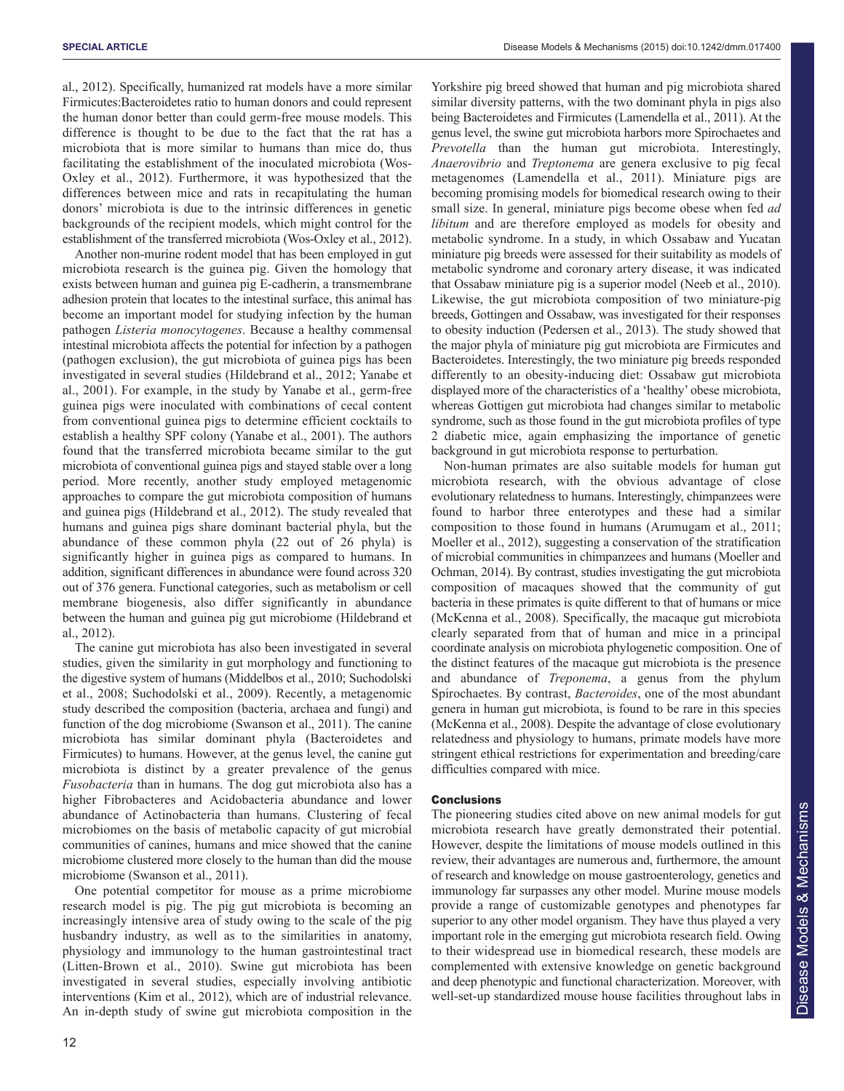al., 2012). Specifically, humanized rat models have a more similar Firmicutes:Bacteroidetes ratio to human donors and could represent the human donor better than could germ-free mouse models. This difference is thought to be due to the fact that the rat has a microbiota that is more similar to humans than mice do, thus facilitating the establishment of the inoculated microbiota (Wos-Oxley et al., 2012). Furthermore, it was hypothesized that the differences between mice and rats in recapitulating the human donors' microbiota is due to the intrinsic differences in genetic backgrounds of the recipient models, which might control for the establishment of the transferred microbiota (Wos-Oxley et al., 2012).

Another non-murine rodent model that has been employed in gut microbiota research is the guinea pig. Given the homology that exists between human and guinea pig E-cadherin, a transmembrane adhesion protein that locates to the intestinal surface, this animal has become an important model for studying infection by the human pathogen *Listeria monocytogenes*. Because a healthy commensal intestinal microbiota affects the potential for infection by a pathogen (pathogen exclusion), the gut microbiota of guinea pigs has been investigated in several studies (Hildebrand et al., 2012; Yanabe et al., 2001). For example, in the study by Yanabe et al., germ-free guinea pigs were inoculated with combinations of cecal content from conventional guinea pigs to determine efficient cocktails to establish a healthy SPF colony (Yanabe et al., 2001). The authors found that the transferred microbiota became similar to the gut microbiota of conventional guinea pigs and stayed stable over a long period. More recently, another study employed metagenomic approaches to compare the gut microbiota composition of humans and guinea pigs (Hildebrand et al., 2012). The study revealed that humans and guinea pigs share dominant bacterial phyla, but the abundance of these common phyla (22 out of 26 phyla) is significantly higher in guinea pigs as compared to humans. In addition, significant differences in abundance were found across 320 out of 376 genera. Functional categories, such as metabolism or cell membrane biogenesis, also differ significantly in abundance between the human and guinea pig gut microbiome (Hildebrand et al., 2012).

The canine gut microbiota has also been investigated in several studies, given the similarity in gut morphology and functioning to the digestive system of humans (Middelbos et al., 2010; Suchodolski et al., 2008; Suchodolski et al., 2009). Recently, a metagenomic study described the composition (bacteria, archaea and fungi) and function of the dog microbiome (Swanson et al., 2011). The canine microbiota has similar dominant phyla (Bacteroidetes and Firmicutes) to humans. However, at the genus level, the canine gut microbiota is distinct by a greater prevalence of the genus *Fusobacteria* than in humans. The dog gut microbiota also has a higher Fibrobacteres and Acidobacteria abundance and lower abundance of Actinobacteria than humans. Clustering of fecal microbiomes on the basis of metabolic capacity of gut microbial communities of canines, humans and mice showed that the canine microbiome clustered more closely to the human than did the mouse microbiome (Swanson et al., 2011).

One potential competitor for mouse as a prime microbiome research model is pig. The pig gut microbiota is becoming an increasingly intensive area of study owing to the scale of the pig husbandry industry, as well as to the similarities in anatomy, physiology and immunology to the human gastrointestinal tract (Litten-Brown et al., 2010). Swine gut microbiota has been investigated in several studies, especially involving antibiotic interventions (Kim et al., 2012), which are of industrial relevance. An in-depth study of swine gut microbiota composition in the Yorkshire pig breed showed that human and pig microbiota shared similar diversity patterns, with the two dominant phyla in pigs also being Bacteroidetes and Firmicutes (Lamendella et al., 2011). At the genus level, the swine gut microbiota harbors more Spirochaetes and *Prevotella* than the human gut microbiota. Interestingly, *Anaerovibrio* and *Treptonema* are genera exclusive to pig fecal metagenomes (Lamendella et al., 2011). Miniature pigs are becoming promising models for biomedical research owing to their small size. In general, miniature pigs become obese when fed *ad libitum* and are therefore employed as models for obesity and metabolic syndrome. In a study, in which Ossabaw and Yucatan miniature pig breeds were assessed for their suitability as models of metabolic syndrome and coronary artery disease, it was indicated that Ossabaw miniature pig is a superior model (Neeb et al., 2010). Likewise, the gut microbiota composition of two miniature-pig breeds, Gottingen and Ossabaw, was investigated for their responses to obesity induction (Pedersen et al., 2013). The study showed that the major phyla of miniature pig gut microbiota are Firmicutes and Bacteroidetes. Interestingly, the two miniature pig breeds responded differently to an obesity-inducing diet: Ossabaw gut microbiota displayed more of the characteristics of a 'healthy' obese microbiota, whereas Gottigen gut microbiota had changes similar to metabolic syndrome, such as those found in the gut microbiota profiles of type 2 diabetic mice, again emphasizing the importance of genetic background in gut microbiota response to perturbation.

Non-human primates are also suitable models for human gut microbiota research, with the obvious advantage of close evolutionary relatedness to humans. Interestingly, chimpanzees were found to harbor three enterotypes and these had a similar composition to those found in humans (Arumugam et al., 2011; Moeller et al., 2012), suggesting a conservation of the stratification of microbial communities in chimpanzees and humans (Moeller and Ochman, 2014). By contrast, studies investigating the gut microbiota composition of macaques showed that the community of gut bacteria in these primates is quite different to that of humans or mice (McKenna et al., 2008). Specifically, the macaque gut microbiota clearly separated from that of human and mice in a principal coordinate analysis on microbiota phylogenetic composition. One of the distinct features of the macaque gut microbiota is the presence and abundance of *Treponema*, a genus from the phylum Spirochaetes. By contrast, *Bacteroides*, one of the most abundant genera in human gut microbiota, is found to be rare in this species (McKenna et al., 2008). Despite the advantage of close evolutionary relatedness and physiology to humans, primate models have more stringent ethical restrictions for experimentation and breeding/care difficulties compared with mice.

# **Conclusions**

The pioneering studies cited above on new animal models for gut microbiota research have greatly demonstrated their potential. However, despite the limitations of mouse models outlined in this review, their advantages are numerous and, furthermore, the amount of research and knowledge on mouse gastroenterology, genetics and immunology far surpasses any other model. Murine mouse models provide a range of customizable genotypes and phenotypes far superior to any other model organism. They have thus played a very important role in the emerging gut microbiota research field. Owing to their widespread use in biomedical research, these models are complemented with extensive knowledge on genetic background and deep phenotypic and functional characterization. Moreover, with well-set-up standardized mouse house facilities throughout labs in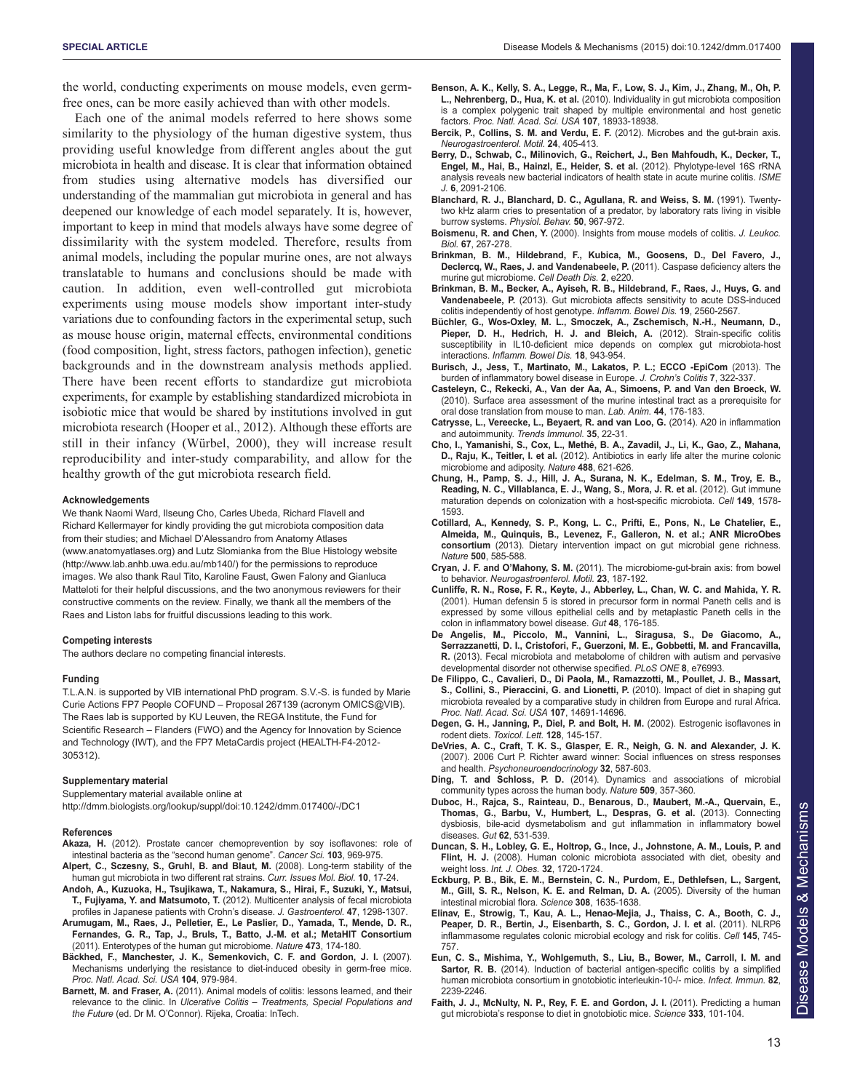the world, conducting experiments on mouse models, even germfree ones, can be more easily achieved than with other models.

Each one of the animal models referred to here shows some similarity to the physiology of the human digestive system, thus providing useful knowledge from different angles about the gut microbiota in health and disease. It is clear that information obtained from studies using alternative models has diversified our understanding of the mammalian gut microbiota in general and has deepened our knowledge of each model separately. It is, however, important to keep in mind that models always have some degree of dissimilarity with the system modeled. Therefore, results from animal models, including the popular murine ones, are not always translatable to humans and conclusions should be made with caution. In addition, even well-controlled gut microbiota experiments using mouse models show important inter-study variations due to confounding factors in the experimental setup, such as mouse house origin, maternal effects, environmental conditions (food composition, light, stress factors, pathogen infection), genetic backgrounds and in the downstream analysis methods applied. There have been recent efforts to standardize gut microbiota experiments, for example by establishing standardized microbiota in isobiotic mice that would be shared by institutions involved in gut microbiota research (Hooper et al., 2012). Although these efforts are still in their infancy (Würbel, 2000), they will increase result reproducibility and inter-study comparability, and allow for the healthy growth of the gut microbiota research field.

#### **Acknowledgements**

We thank Naomi Ward, Ilseung Cho, Carles Ubeda, Richard Flavell and Richard Kellermayer for kindly providing the gut microbiota composition data from their studies; and Michael D'Alessandro from Anatomy Atlases (www.anatomyatlases.org) and Lutz Slomianka from the Blue Histology website (http://www.lab.anhb.uwa.edu.au/mb140/) for the permissions to reproduce images. We also thank Raul Tito, Karoline Faust, Gwen Falony and Gianluca Matteloti for their helpful discussions, and the two anonymous reviewers for their constructive comments on the review. Finally, we thank all the members of the Raes and Liston labs for fruitful discussions leading to this work.

#### **Competing interests**

The authors declare no competing financial interests.

#### **Funding**

T.L.A.N. is supported by VIB international PhD program. S.V.-S. is funded by Marie Curie Actions FP7 People COFUND – Proposal 267139 (acronym OMICS@VIB). The Raes lab is supported by KU Leuven, the REGA Institute, the Fund for Scientific Research – Flanders (FWO) and the Agency for Innovation by Science and Technology (IWT), and the FP7 MetaCardis project (HEALTH-F4-2012- 305312).

#### **Supplementary material**

Supplementary material available online at

http://dmm.biologists.org/lookup/suppl/doi:10.1242/dmm.017400/-/DC1

#### **References**

- **Akaza, H.** (2012). Prostate cancer chemoprevention by soy isoflavones: role of intestinal bacteria as the "second human genome". *Cancer Sci.* **103**, 969-975.
- **Alpert, C., Sczesny, S., Gruhl, B. and Blaut, M.** (2008). Long-term stability of the human gut microbiota in two different rat strains. *Curr. Issues Mol. Biol.* **10**, 17-24.
- **Andoh, A., Kuzuoka, H., Tsujikawa, T., Nakamura, S., Hirai, F., Suzuki, Y., Matsui, T., Fujiyama, Y. and Matsumoto, T.** (2012). Multicenter analysis of fecal microbiota profiles in Japanese patients with Crohn's disease. *J. Gastroenterol.* **47**, 1298-1307.
- **Arumugam, M., Raes, J., Pelletier, E., Le Paslier, D., Yamada, T., Mende, D. R., Fernandes, G. R., Tap, J., Bruls, T., Batto, J.-M. et al.; MetaHIT Consortium** (2011). Enterotypes of the human gut microbiome. *Nature* **473**, 174-180.
- **Bäckhed, F., Manchester, J. K., Semenkovich, C. F. and Gordon, J. I.** (2007). Mechanisms underlying the resistance to diet-induced obesity in germ-free mice. *Proc. Natl. Acad. Sci. USA* **104**, 979-984.
- **Barnett, M. and Fraser, A.** (2011). Animal models of colitis: lessons learned, and their relevance to the clinic. In *Ulcerative Colitis – Treatments, Special Populations and the Future* (ed. Dr M. O'Connor). Rijeka, Croatia: InTech.
- **Benson, A. K., Kelly, S. A., Legge, R., Ma, F., Low, S. J., Kim, J., Zhang, M., Oh, P. L., Nehrenberg, D., Hua, K. et al.** (2010). Individuality in gut microbiota composition is a complex polygenic trait shaped by multiple environmental and host genetic factors. *Proc. Natl. Acad. Sci. USA* **107**, 18933-18938.
- **Bercik, P., Collins, S. M. and Verdu, E. F.** (2012). Microbes and the gut-brain axis. *Neurogastroenterol. Motil.* **24**, 405-413.
- **Berry, D., Schwab, C., Milinovich, G., Reichert, J., Ben Mahfoudh, K., Decker, T., Engel, M., Hai, B., Hainzl, E., Heider, S. et al.** (2012). Phylotype-level 16S rRNA analysis reveals new bacterial indicators of health state in acute murine colitis. *ISME J.* **6**, 2091-2106.
- **Blanchard, R. J., Blanchard, D. C., Agullana, R. and Weiss, S. M.** (1991). Twentytwo kHz alarm cries to presentation of a predator, by laboratory rats living in visible burrow systems. *Physiol. Behav.* **50**, 967-972.
- **Boismenu, R. and Chen, Y.** (2000). Insights from mouse models of colitis. *J. Leukoc. Biol.* **67**, 267-278.
- **Brinkman, B. M., Hildebrand, F., Kubica, M., Goosens, D., Del Favero, J., Declercq, W., Raes, J. and Vandenabeele, P.** (2011). Caspase deficiency alters the murine gut microbiome. *Cell Death Dis.* **2**, e220.
- **Brinkman, B. M., Becker, A., Ayiseh, R. B., Hildebrand, F., Raes, J., Huys, G. and Vandenabeele, P.** (2013). Gut microbiota affects sensitivity to acute DSS-induced colitis independently of host genotype. *Inflamm. Bowel Dis.* **19**, 2560-2567.
- **Büchler, G., Wos-Oxley, M. L., Smoczek, A., Zschemisch, N.-H., Neumann, D., Pieper, D. H., Hedrich, H. J. and Bleich, A.** (2012). Strain-specific colitis susceptibility in IL10-deficient mice depends on complex gut microbiota-host interactions. *Inflamm. Bowel Dis.* **18**, 943-954.
- **Burisch, J., Jess, T., Martinato, M., Lakatos, P. L.; ECCO -EpiCom** (2013). The burden of inflammatory bowel disease in Europe. *J. Crohn's Colitis* **7**, 322-337.
- **Casteleyn, C., Rekecki, A., Van der Aa, A., Simoens, P. and Van den Broeck, W.** (2010). Surface area assessment of the murine intestinal tract as a prerequisite for oral dose translation from mouse to man. *Lab. Anim.* **44**, 176-183.
- **Catrysse, L., Vereecke, L., Beyaert, R. and van Loo, G.** (2014). A20 in inflammation and autoimmunity. *Trends Immunol.* **35**, 22-31.
- **Cho, I., Yamanishi, S., Cox, L., Methé, B. A., Zavadil, J., Li, K., Gao, Z., Mahana, D., Raju, K., Teitler, I. et al.** (2012). Antibiotics in early life alter the murine colonic microbiome and adiposity. *Nature* **488**, 621-626.
- **Chung, H., Pamp, S. J., Hill, J. A., Surana, N. K., Edelman, S. M., Troy, E. B., Reading, N. C., Villablanca, E. J., Wang, S., Mora, J. R. et al.** (2012). Gut immune maturation depends on colonization with a host-specific microbiota. *Cell* **149**, 1578- 1593.
- **Cotillard, A., Kennedy, S. P., Kong, L. C., Prifti, E., Pons, N., Le Chatelier, E., Almeida, M., Quinquis, B., Levenez, F., Galleron, N. et al.; ANR MicroObes consortium** (2013). Dietary intervention impact on gut microbial gene richness. *Nature* **500**, 585-588.
- **Cryan, J. F. and O'Mahony, S. M.** (2011). The microbiome-gut-brain axis: from bowel to behavior. *Neurogastroenterol. Motil.* **23**, 187-192.
- **Cunliffe, R. N., Rose, F. R., Keyte, J., Abberley, L., Chan, W. C. and Mahida, Y. R.** (2001). Human defensin 5 is stored in precursor form in normal Paneth cells and is expressed by some villous epithelial cells and by metaplastic Paneth cells in the colon in inflammatory bowel disease. *Gut* **48**, 176-185.
- **De Angelis, M., Piccolo, M., Vannini, L., Siragusa, S., De Giacomo, A., Serrazzanetti, D. I., Cristofori, F., Guerzoni, M. E., Gobbetti, M. and Francavilla, R.** (2013). Fecal microbiota and metabolome of children with autism and pervasive developmental disorder not otherwise specified. *PLoS ONE* **8**, e76993.
- **De Filippo, C., Cavalieri, D., Di Paola, M., Ramazzotti, M., Poullet, J. B., Massart, S., Collini, S., Pieraccini, G. and Lionetti, P.** (2010). Impact of diet in shaping gut microbiota revealed by a comparative study in children from Europe and rural Africa. *Proc. Natl. Acad. Sci. USA* **107**, 14691-14696.
- **Degen, G. H., Janning, P., Diel, P. and Bolt, H. M.** (2002). Estrogenic isoflavones in rodent diets. *Toxicol. Lett.* **128**, 145-157.
- **DeVries, A. C., Craft, T. K. S., Glasper, E. R., Neigh, G. N. and Alexander, J. K.** (2007). 2006 Curt P. Richter award winner: Social influences on stress responses and health. *Psychoneuroendocrinology* **32**, 587-603.
- **Ding, T. and Schloss, P. D.** (2014). Dynamics and associations of microbial community types across the human body. *Nature* **509**, 357-360.
- **Duboc, H., Rajca, S., Rainteau, D., Benarous, D., Maubert, M.-A., Quervain, E., Thomas, G., Barbu, V., Humbert, L., Despras, G. et al.** (2013). Connecting dysbiosis, bile-acid dysmetabolism and gut inflammation in inflammatory bowel diseases. *Gut* **62**, 531-539.
- **Duncan, S. H., Lobley, G. E., Holtrop, G., Ince, J., Johnstone, A. M., Louis, P. and Flint, H. J.** (2008). Human colonic microbiota associated with diet, obesity and weight loss. *Int. J. Obes.* **32**, 1720-1724.
- **Eckburg, P. B., Bik, E. M., Bernstein, C. N., Purdom, E., Dethlefsen, L., Sargent, M., Gill, S. R., Nelson, K. E. and Relman, D. A.** (2005). Diversity of the human intestinal microbial flora. *Science* **308**, 1635-1638.
- **Elinav, E., Strowig, T., Kau, A. L., Henao-Mejia, J., Thaiss, C. A., Booth, C. J., Peaper, D. R., Bertin, J., Eisenbarth, S. C., Gordon, J. I. et al.** (2011). NLRP6 inflammasome regulates colonic microbial ecology and risk for colitis. *Cell* **145**, 745- 757.
- **Eun, C. S., Mishima, Y., Wohlgemuth, S., Liu, B., Bower, M., Carroll, I. M. and** Sartor, R. B. (2014). Induction of bacterial antigen-specific colitis by a simplified human microbiota consortium in gnotobiotic interleukin-10-/- mice. *Infect. Immun.* **82**, 2239-2246.
- **Faith, J. J., McNulty, N. P., Rey, F. E. and Gordon, J. I.** (2011). Predicting a human gut microbiota's response to diet in gnotobiotic mice. *Science* **333**, 101-104.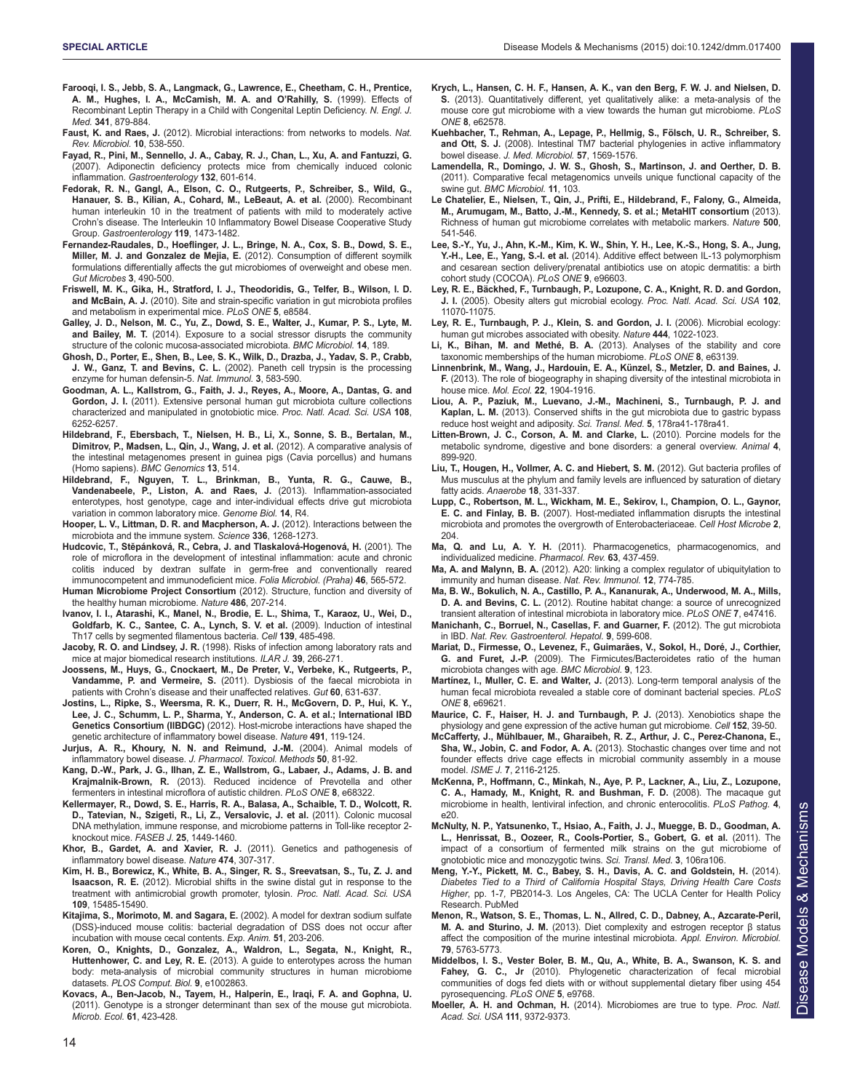- **Farooqi, I. S., Jebb, S. A., Langmack, G., Lawrence, E., Cheetham, C. H., Prentice, A. M., Hughes, I. A., McCamish, M. A. and O'Rahilly, S.** (1999). Effects of Recombinant Leptin Therapy in a Child with Congenital Leptin Deficiency. *N. Engl. J. Med.* **341**, 879-884.
- **Faust, K. and Raes, J.** (2012). Microbial interactions: from networks to models. *Nat. Rev. Microbiol.* **10**, 538-550.
- **Fayad, R., Pini, M., Sennello, J. A., Cabay, R. J., Chan, L., Xu, A. and Fantuzzi, G.** (2007). Adiponectin deficiency protects mice from chemically induced colonic inflammation. *Gastroenterology* **132**, 601-614.
- **Fedorak, R. N., Gangl, A., Elson, C. O., Rutgeerts, P., Schreiber, S., Wild, G., Hanauer, S. B., Kilian, A., Cohard, M., LeBeaut, A. et al.** (2000). Recombinant human interleukin 10 in the treatment of patients with mild to moderately active Crohn's disease. The Interleukin 10 Inflammatory Bowel Disease Cooperative Study Group. *Gastroenterology* **119**, 1473-1482.
- **Fernandez-Raudales, D., Hoeflinger, J. L., Bringe, N. A., Cox, S. B., Dowd, S. E., Miller, M. J. and Gonzalez de Mejia, E.** (2012). Consumption of different soymilk formulations differentially affects the gut microbiomes of overweight and obese men. *Gut Microbes* **3**, 490-500.
- **Friswell, M. K., Gika, H., Stratford, I. J., Theodoridis, G., Telfer, B., Wilson, I. D. and McBain, A. J.** (2010). Site and strain-specific variation in gut microbiota profiles and metabolism in experimental mice. *PLoS ONE* **5**, e8584.
- **Galley, J. D., Nelson, M. C., Yu, Z., Dowd, S. E., Walter, J., Kumar, P. S., Lyte, M. and Bailey, M. T.** (2014). Exposure to a social stressor disrupts the community structure of the colonic mucosa-associated microbiota. *BMC Microbiol.* **14**, 189.
- **Ghosh, D., Porter, E., Shen, B., Lee, S. K., Wilk, D., Drazba, J., Yadav, S. P., Crabb, J. W., Ganz, T. and Bevins, C. L.** (2002). Paneth cell trypsin is the processing enzyme for human defensin-5. *Nat. Immunol.* **3**, 583-590.
- **Goodman, A. L., Kallstrom, G., Faith, J. J., Reyes, A., Moore, A., Dantas, G. and Gordon, J. I.** (2011). Extensive personal human gut microbiota culture collections characterized and manipulated in gnotobiotic mice. *Proc. Natl. Acad. Sci. USA* **108**, 6252-6257.
- **Hildebrand, F., Ebersbach, T., Nielsen, H. B., Li, X., Sonne, S. B., Bertalan, M., Dimitrov, P., Madsen, L., Qin, J., Wang, J. et al.** (2012). A comparative analysis of the intestinal metagenomes present in guinea pigs (Cavia porcellus) and humans (Homo sapiens). *BMC Genomics* **13**, 514.
- **Hildebrand, F., Nguyen, T. L., Brinkman, B., Yunta, R. G., Cauwe, B., Vandenabeele, P., Liston, A. and Raes, J.** (2013). Inflammation-associated enterotypes, host genotype, cage and inter-individual effects drive gut microbiota variation in common laboratory mice. *Genome Biol.* **14**, R4.
- **Hooper, L. V., Littman, D. R. and Macpherson, A. J.** (2012). Interactions between the microbiota and the immune system. *Science* **336**, 1268-1273.
- **Hudcovic, T., Stĕpánková, R., Cebra, J. and Tlaskalová-Hogenová, H.** (2001). The role of microflora in the development of intestinal inflammation: acute and chronic colitis induced by dextran sulfate in germ-free and conventionally reared immunocompetent and immunodeficient mice. *Folia Microbiol. (Praha)* **46**, 565-572.
- **Human Microbiome Project Consortium** (2012). Structure, function and diversity of the healthy human microbiome. *Nature* **486**, 207-214.
- **Ivanov, I. I., Atarashi, K., Manel, N., Brodie, E. L., Shima, T., Karaoz, U., Wei, D., Goldfarb, K. C., Santee, C. A., Lynch, S. V. et al.** (2009). Induction of intestinal Th17 cells by segmented filamentous bacteria. *Cell* **139**, 485-498.
- **Jacoby, R. O. and Lindsey, J. R.** (1998). Risks of infection among laboratory rats and mice at major biomedical research institutions. *ILAR J.* **39**, 266-271.
- **Joossens, M., Huys, G., Cnockaert, M., De Preter, V., Verbeke, K., Rutgeerts, P., Vandamme, P. and Vermeire, S.** (2011). Dysbiosis of the faecal microbiota in patients with Crohn's disease and their unaffected relatives. *Gut* **60**, 631-637.
- **Jostins, L., Ripke, S., Weersma, R. K., Duerr, R. H., McGovern, D. P., Hui, K. Y., Lee, J. C., Schumm, L. P., Sharma, Y., Anderson, C. A. et al.; International IBD Genetics Consortium (IIBDGC)** (2012). Host-microbe interactions have shaped the genetic architecture of inflammatory bowel disease. *Nature* **491**, 119-124.
- **Jurjus, A. R., Khoury, N. N. and Reimund, J.-M.** (2004). Animal models of inflammatory bowel disease. *J. Pharmacol. Toxicol. Methods* **50**, 81-92.
- **Kang, D.-W., Park, J. G., Ilhan, Z. E., Wallstrom, G., Labaer, J., Adams, J. B. and Krajmalnik-Brown, R.** (2013). Reduced incidence of Prevotella and other fermenters in intestinal microflora of autistic children. *PLoS ONE* **8**, e68322.
- **Kellermayer, R., Dowd, S. E., Harris, R. A., Balasa, A., Schaible, T. D., Wolcott, R. D., Tatevian, N., Szigeti, R., Li, Z., Versalovic, J. et al.** (2011). Colonic mucosal DNA methylation, immune response, and microbiome patterns in Toll-like receptor 2 knockout mice. *FASEB J.* **25**, 1449-1460.
- **Khor, B., Gardet, A. and Xavier, R. J.** (2011). Genetics and pathogenesis of inflammatory bowel disease. *Nature* **474**, 307-317.
- **Kim, H. B., Borewicz, K., White, B. A., Singer, R. S., Sreevatsan, S., Tu, Z. J. and Isaacson, R. E.** (2012). Microbial shifts in the swine distal gut in response to the treatment with antimicrobial growth promoter, tylosin. *Proc. Natl. Acad. Sci. USA* **109**, 15485-15490.
- **Kitajima, S., Morimoto, M. and Sagara, E.** (2002). A model for dextran sodium sulfate (DSS)-induced mouse colitis: bacterial degradation of DSS does not occur after incubation with mouse cecal contents. *Exp. Anim.* **51**, 203-206.
- **Koren, O., Knights, D., Gonzalez, A., Waldron, L., Segata, N., Knight, R., Huttenhower, C. and Ley, R. E.** (2013). A guide to enterotypes across the human body: meta-analysis of microbial community structures in human microbiome datasets. *PLOS Comput. Biol.* **9**, e1002863.
- **Kovacs, A., Ben-Jacob, N., Tayem, H., Halperin, E., Iraqi, F. A. and Gophna, U.** (2011). Genotype is a stronger determinant than sex of the mouse gut microbiota. *Microb. Ecol.* **61**, 423-428.
- **Krych, L., Hansen, C. H. F., Hansen, A. K., van den Berg, F. W. J. and Nielsen, D. S.** (2013). Quantitatively different, yet qualitatively alike: a meta-analysis of the mouse core gut microbiome with a view towards the human gut microbiome. *PLoS ONE* **8**, e62578.
- **Kuehbacher, T., Rehman, A., Lepage, P., Hellmig, S., Fölsch, U. R., Schreiber, S. and Ott, S. J.** (2008). Intestinal TM7 bacterial phylogenies in active inflammatory bowel disease. *J. Med. Microbiol.* **57**, 1569-1576.
- **Lamendella, R., Domingo, J. W. S., Ghosh, S., Martinson, J. and Oerther, D. B.** (2011). Comparative fecal metagenomics unveils unique functional capacity of the swine gut. *BMC Microbiol.* **11**, 103.
- **Le Chatelier, E., Nielsen, T., Qin, J., Prifti, E., Hildebrand, F., Falony, G., Almeida, M., Arumugam, M., Batto, J.-M., Kennedy, S. et al.; MetaHIT consortium** (2013). Richness of human gut microbiome correlates with metabolic markers. *Nature* **500**, 541-546.
- **Lee, S.-Y., Yu, J., Ahn, K.-M., Kim, K. W., Shin, Y. H., Lee, K.-S., Hong, S. A., Jung, Y.-H., Lee, E., Yang, S.-I. et al.** (2014). Additive effect between IL-13 polymorphism and cesarean section delivery/prenatal antibiotics use on atopic dermatitis: a birth cohort study (COCOA). *PLoS ONE* **9**, e96603.
- **Ley, R. E., Bäckhed, F., Turnbaugh, P., Lozupone, C. A., Knight, R. D. and Gordon, J. I.** (2005). Obesity alters gut microbial ecology. *Proc. Natl. Acad. Sci. USA* **102**, 11070-11075.
- **Ley, R. E., Turnbaugh, P. J., Klein, S. and Gordon, J. I.** (2006). Microbial ecology: human gut microbes associated with obesity. *Nature* **444**, 1022-1023.
- **Li, K., Bihan, M. and Methé, B. A.** (2013). Analyses of the stability and core taxonomic memberships of the human microbiome. *PLoS ONE* **8**, e63139.
- **Linnenbrink, M., Wang, J., Hardouin, E. A., Künzel, S., Metzler, D. and Baines, J. F.** (2013). The role of biogeography in shaping diversity of the intestinal microbiota in house mice. *Mol. Ecol.* **22**, 1904-1916.
- **Liou, A. P., Paziuk, M., Luevano, J.-M., Machineni, S., Turnbaugh, P. J. and Kaplan, L. M.** (2013). Conserved shifts in the gut microbiota due to gastric bypass reduce host weight and adiposity. *Sci. Transl. Med.* **5**, 178ra41-178ra41.
- **Litten-Brown, J. C., Corson, A. M. and Clarke, L.** (2010). Porcine models for the metabolic syndrome, digestive and bone disorders: a general overview. *Animal* **4**, 899-920.
- **Liu, T., Hougen, H., Vollmer, A. C. and Hiebert, S. M.** (2012). Gut bacteria profiles of Mus musculus at the phylum and family levels are influenced by saturation of dietary fatty acids. *Anaerobe* **18**, 331-337.
- **Lupp, C., Robertson, M. L., Wickham, M. E., Sekirov, I., Champion, O. L., Gaynor, E. C. and Finlay, B. B.** (2007). Host-mediated inflammation disrupts the intestinal microbiota and promotes the overgrowth of Enterobacteriaceae. *Cell Host Microbe* **2**, 204.
- **Ma, Q. and Lu, A. Y. H.** (2011). Pharmacogenetics, pharmacogenomics, and individualized medicine. *Pharmacol. Rev.* **63**, 437-459.
- **Ma, A. and Malynn, B. A.** (2012). A20: linking a complex regulator of ubiquitylation to immunity and human disease. *Nat. Rev. Immunol.* **12**, 774-785.
- **Ma, B. W., Bokulich, N. A., Castillo, P. A., Kananurak, A., Underwood, M. A., Mills, D. A. and Bevins, C. L.** (2012). Routine habitat change: a source of unrecognized transient alteration of intestinal microbiota in laboratory mice. *PLoS ONE* **7**, e47416.
- **Manichanh, C., Borruel, N., Casellas, F. and Guarner, F.** (2012). The gut microbiota in IBD. *Nat. Rev. Gastroenterol. Hepatol.* **9**, 599-608.
- **Mariat, D., Firmesse, O., Levenez, F., Guimarăes, V., Sokol, H., Doré, J., Corthier, G. and Furet, J.-P.** (2009). The Firmicutes/Bacteroidetes ratio of the human microbiota changes with age. *BMC Microbiol.* **9**, 123.
- **Martínez, I., Muller, C. E. and Walter, J.** (2013). Long-term temporal analysis of the human fecal microbiota revealed a stable core of dominant bacterial species. *PLoS ONE* **8**, e69621.
- **Maurice, C. F., Haiser, H. J. and Turnbaugh, P. J.** (2013). Xenobiotics shape the physiology and gene expression of the active human gut microbiome. *Cell* **152**, 39-50.
- **McCafferty, J., Mühlbauer, M., Gharaibeh, R. Z., Arthur, J. C., Perez-Chanona, E., Sha, W., Jobin, C. and Fodor, A. A.** (2013). Stochastic changes over time and not founder effects drive cage effects in microbial community assembly in a mouse model. *ISME J.* **7**, 2116-2125.
- **McKenna, P., Hoffmann, C., Minkah, N., Aye, P. P., Lackner, A., Liu, Z., Lozupone, C. A., Hamady, M., Knight, R. and Bushman, F. D.** (2008). The macaque gut microbiome in health, lentiviral infection, and chronic enterocolitis. *PLoS Pathog.* **4**, e20.
- **McNulty, N. P., Yatsunenko, T., Hsiao, A., Faith, J. J., Muegge, B. D., Goodman, A. L., Henrissat, B., Oozeer, R., Cools-Portier, S., Gobert, G. et al.** (2011). The impact of a consortium of fermented milk strains on the gut microbiome of gnotobiotic mice and monozygotic twins. *Sci. Transl. Med.* **3**, 106ra106.
- **Meng, Y.-Y., Pickett, M. C., Babey, S. H., Davis, A. C. and Goldstein, H.** (2014). *Diabetes Tied to a Third of California Hospital Stays, Driving Health Care Costs Higher*, pp. 1-7*,* PB2014-3. Los Angeles, CA: The UCLA Center for Health Policy Research. PubMed
- **Menon, R., Watson, S. E., Thomas, L. N., Allred, C. D., Dabney, A., Azcarate-Peril, M. A. and Sturino, J. M.** (2013). Diet complexity and estrogen receptor β status affect the composition of the murine intestinal microbiota. *Appl. Environ. Microbiol.* **79**, 5763-5773.
- **Middelbos, I. S., Vester Boler, B. M., Qu, A., White, B. A., Swanson, K. S. and Fahey, G. C., Jr** (2010). Phylogenetic characterization of fecal microbial communities of dogs fed diets with or without supplemental dietary fiber using 454 pyrosequencing. *PLoS ONE* **5**, e9768.
- **Moeller, A. H. and Ochman, H.** (2014). Microbiomes are true to type. *Proc. Natl. Acad. Sci. USA* **111**, 9372-9373.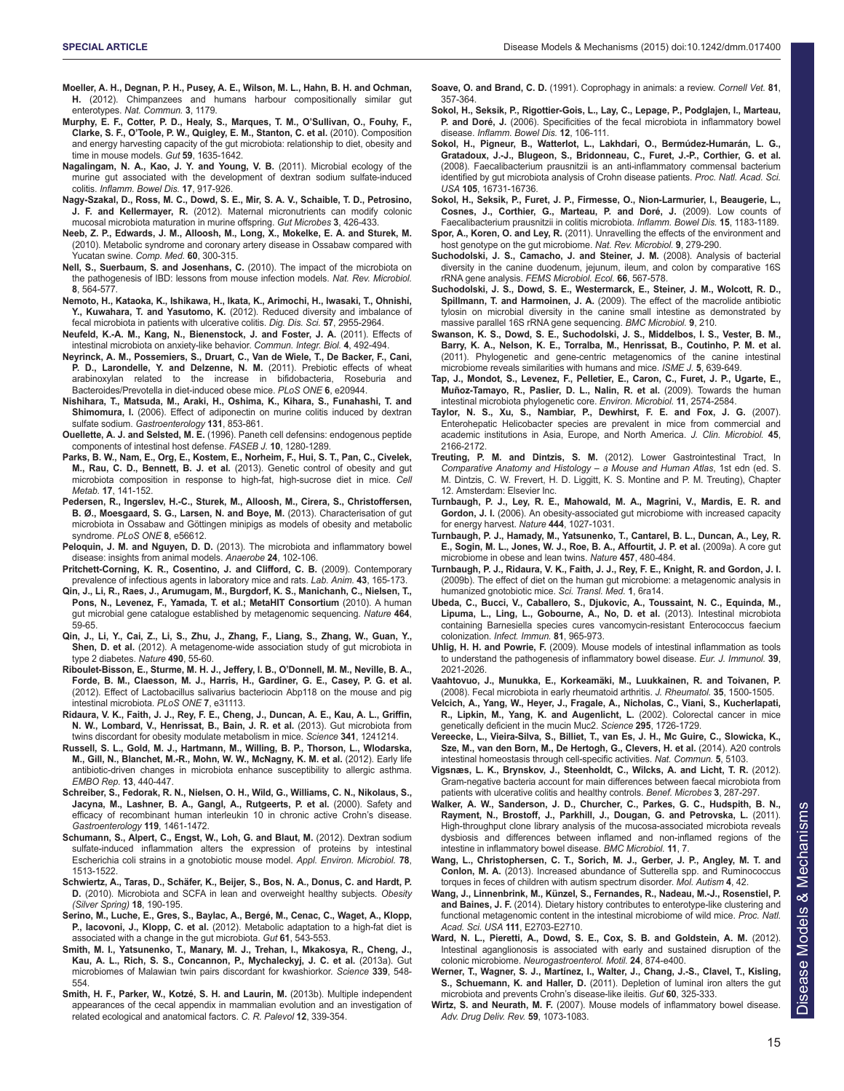- **Moeller, A. H., Degnan, P. H., Pusey, A. E., Wilson, M. L., Hahn, B. H. and Ochman, H.** (2012). Chimpanzees and humans harbour compositionally similar gut enterotypes. *Nat. Commun.* **3**, 1179.
- **Murphy, E. F., Cotter, P. D., Healy, S., Marques, T. M., O'Sullivan, O., Fouhy, F., Clarke, S. F., O'Toole, P. W., Quigley, E. M., Stanton, C. et al.** (2010). Composition and energy harvesting capacity of the gut microbiota: relationship to diet, obesity and time in mouse models. *Gut* **59**, 1635-1642.
- **Nagalingam, N. A., Kao, J. Y. and Young, V. B.** (2011). Microbial ecology of the murine gut associated with the development of dextran sodium sulfate-induced colitis. *Inflamm. Bowel Dis.* **17**, 917-926.
- **Nagy-Szakal, D., Ross, M. C., Dowd, S. E., Mir, S. A. V., Schaible, T. D., Petrosino, J. F. and Kellermayer, R.** (2012). Maternal micronutrients can modify colonic mucosal microbiota maturation in murine offspring. *Gut Microbes* **3**, 426-433.
- **Neeb, Z. P., Edwards, J. M., Alloosh, M., Long, X., Mokelke, E. A. and Sturek, M.** (2010). Metabolic syndrome and coronary artery disease in Ossabaw compared with Yucatan swine. *Comp. Med.* **60**, 300-315.
- **Nell, S., Suerbaum, S. and Josenhans, C.** (2010). The impact of the microbiota on the pathogenesis of IBD: lessons from mouse infection models. *Nat. Rev. Microbiol.* **8**, 564-577.
- **Nemoto, H., Kataoka, K., Ishikawa, H., Ikata, K., Arimochi, H., Iwasaki, T., Ohnishi, Y., Kuwahara, T. and Yasutomo, K.** (2012). Reduced diversity and imbalance of fecal microbiota in patients with ulcerative colitis. *Dig. Dis. Sci.* **57**, 2955-2964.
- **Neufeld, K.-A. M., Kang, N., Bienenstock, J. and Foster, J. A.** (2011). Effects of intestinal microbiota on anxiety-like behavior. *Commun. Integr. Biol.* **4**, 492-494.
- **Neyrinck, A. M., Possemiers, S., Druart, C., Van de Wiele, T., De Backer, F., Cani, P. D., Larondelle, Y. and Delzenne, N. M.** (2011). Prebiotic effects of wheat arabinoxylan related to the increase in bifidobacteria, Roseburia and Bacteroides/Prevotella in diet-induced obese mice. *PLoS ONE* **6**, e20944.
- **Nishihara, T., Matsuda, M., Araki, H., Oshima, K., Kihara, S., Funahashi, T. and Shimomura, I.** (2006). Effect of adiponectin on murine colitis induced by dextran sulfate sodium. *Gastroenterology* **131**, 853-861.
- **Ouellette, A. J. and Selsted, M. E.** (1996). Paneth cell defensins: endogenous peptide components of intestinal host defense. *FASEB J.* **10**, 1280-1289.
- **Parks, B. W., Nam, E., Org, E., Kostem, E., Norheim, F., Hui, S. T., Pan, C., Civelek, M., Rau, C. D., Bennett, B. J. et al.** (2013). Genetic control of obesity and gut microbiota composition in response to high-fat, high-sucrose diet in mice. *Cell Metab.* **17**, 141-152.
- **Pedersen, R., Ingerslev, H.-C., Sturek, M., Alloosh, M., Cirera, S., Christoffersen, B. Ø., Moesgaard, S. G., Larsen, N. and Boye, M.** (2013). Characterisation of gut microbiota in Ossabaw and Göttingen minipigs as models of obesity and metabolic syndrome. *PLoS ONE* **8**, e56612.
- **Peloquin, J. M. and Nguyen, D. D.** (2013). The microbiota and inflammatory bowel disease: insights from animal models. *Anaerobe* **24**, 102-106.
- **Pritchett-Corning, K. R., Cosentino, J. and Clifford, C. B.** (2009). Contemporary prevalence of infectious agents in laboratory mice and rats. *Lab. Anim.* **43**, 165-173.
- **Qin, J., Li, R., Raes, J., Arumugam, M., Burgdorf, K. S., Manichanh, C., Nielsen, T., Pons, N., Levenez, F., Yamada, T. et al.; MetaHIT Consortium** (2010). A human gut microbial gene catalogue established by metagenomic sequencing. *Nature* **464**, 59-65.
- **Qin, J., Li, Y., Cai, Z., Li, S., Zhu, J., Zhang, F., Liang, S., Zhang, W., Guan, Y., Shen, D. et al.** (2012). A metagenome-wide association study of gut microbiota in type 2 diabetes. *Nature* **490**, 55-60.
- **Riboulet-Bisson, E., Sturme, M. H. J., Jeffery, I. B., O'Donnell, M. M., Neville, B. A., Forde, B. M., Claesson, M. J., Harris, H., Gardiner, G. E., Casey, P. G. et al.** (2012). Effect of Lactobacillus salivarius bacteriocin Abp118 on the mouse and pig intestinal microbiota. *PLoS ONE* **7**, e31113.
- **Ridaura, V. K., Faith, J. J., Rey, F. E., Cheng, J., Duncan, A. E., Kau, A. L., Griffin, N. W., Lombard, V., Henrissat, B., Bain, J. R. et al.** (2013). Gut microbiota from twins discordant for obesity modulate metabolism in mice. *Science* **341**, 1241214.
- **Russell, S. L., Gold, M. J., Hartmann, M., Willing, B. P., Thorson, L., Wlodarska, M., Gill, N., Blanchet, M.-R., Mohn, W. W., McNagny, K. M. et al.** (2012). Early life antibiotic-driven changes in microbiota enhance susceptibility to allergic asthma. *EMBO Rep.* **13**, 440-447.
- **Schreiber, S., Fedorak, R. N., Nielsen, O. H., Wild, G., Williams, C. N., Nikolaus, S., Jacyna, M., Lashner, B. A., Gangl, A., Rutgeerts, P. et al.** (2000). Safety and efficacy of recombinant human interleukin 10 in chronic active Crohn's disease. *Gastroenterology* **119**, 1461-1472.
- **Schumann, S., Alpert, C., Engst, W., Loh, G. and Blaut, M.** (2012). Dextran sodium sulfate-induced inflammation alters the expression of proteins by intestinal Escherichia coli strains in a gnotobiotic mouse model. *Appl. Environ. Microbiol.* **78**, 1513-1522.
- **Schwiertz, A., Taras, D., Schäfer, K., Beijer, S., Bos, N. A., Donus, C. and Hardt, P. D.** (2010). Microbiota and SCFA in lean and overweight healthy subjects. *Obesity (Silver Spring)* **18**, 190-195.
- **Serino, M., Luche, E., Gres, S., Baylac, A., Bergé, M., Cenac, C., Waget, A., Klopp, P., Iacovoni, J., Klopp, C. et al.** (2012). Metabolic adaptation to a high-fat diet is associated with a change in the gut microbiota. *Gut* **61**, 543-553.
- **Smith, M. I., Yatsunenko, T., Manary, M. J., Trehan, I., Mkakosya, R., Cheng, J., Kau, A. L., Rich, S. S., Concannon, P., Mychaleckyj, J. C. et al.** (2013a). Gut microbiomes of Malawian twin pairs discordant for kwashiorkor. *Science* **339**, 548- 554.
- **Smith, H. F., Parker, W., Kotzé, S. H. and Laurin, M.** (2013b). Multiple independent appearances of the cecal appendix in mammalian evolution and an investigation of related ecological and anatomical factors. *C. R. Palevol* **12**, 339-354.

**Soave, O. and Brand, C. D.** (1991). Coprophagy in animals: a review. *Cornell Vet.* **81**, 357-364.

- **Sokol, H., Seksik, P., Rigottier-Gois, L., Lay, C., Lepage, P., Podglajen, I., Marteau, P. and Doré, J.** (2006). Specificities of the fecal microbiota in inflammatory bowel disease. *Inflamm. Bowel Dis.* **12**, 106-111.
- **Sokol, H., Pigneur, B., Watterlot, L., Lakhdari, O., Bermúdez-Humarán, L. G., Gratadoux, J.-J., Blugeon, S., Bridonneau, C., Furet, J.-P., Corthier, G. et al.** (2008). Faecalibacterium prausnitzii is an anti-inflammatory commensal bacterium identified by gut microbiota analysis of Crohn disease patients. *Proc. Natl. Acad. Sci. USA* **105**, 16731-16736.
- **Sokol, H., Seksik, P., Furet, J. P., Firmesse, O., Nion-Larmurier, I., Beaugerie, L., Cosnes, J., Corthier, G., Marteau, P. and Doré, J.** (2009). Low counts of Faecalibacterium prausnitzii in colitis microbiota. *Inflamm. Bowel Dis.* **15**, 1183-1189.
- **Spor, A., Koren, O. and Ley, R.** (2011). Unravelling the effects of the environment and host genotype on the gut microbiome. *Nat. Rev. Microbiol.* **9**, 279-290.
- **Suchodolski, J. S., Camacho, J. and Steiner, J. M.** (2008). Analysis of bacterial diversity in the canine duodenum, jejunum, ileum, and colon by comparative 16S rRNA gene analysis. *FEMS Microbiol. Ecol.* **66**, 567-578.
- **Suchodolski, J. S., Dowd, S. E., Westermarck, E., Steiner, J. M., Wolcott, R. D., Spillmann, T. and Harmoinen, J. A.** (2009). The effect of the macrolide antibiotic tylosin on microbial diversity in the canine small intestine as demonstrated by massive parallel 16S rRNA gene sequencing. *BMC Microbiol.* **9**, 210.
- **Swanson, K. S., Dowd, S. E., Suchodolski, J. S., Middelbos, I. S., Vester, B. M., Barry, K. A., Nelson, K. E., Torralba, M., Henrissat, B., Coutinho, P. M. et al.** (2011). Phylogenetic and gene-centric metagenomics of the canine intestinal microbiome reveals similarities with humans and mice. *ISME J.* **5**, 639-649.
- **Tap, J., Mondot, S., Levenez, F., Pelletier, E., Caron, C., Furet, J. P., Ugarte, E., Muñoz-Tamayo, R., Paslier, D. L., Nalin, R. et al.** (2009). Towards the human intestinal microbiota phylogenetic core. *Environ. Microbiol.* **11**, 2574-2584.
- **Taylor, N. S., Xu, S., Nambiar, P., Dewhirst, F. E. and Fox, J. G.** (2007). Enterohepatic Helicobacter species are prevalent in mice from commercial and academic institutions in Asia, Europe, and North America. *J. Clin. Microbiol.* **45**, 2166-2172.
- **Treuting, P. M. and Dintzis, S. M.** (2012). Lower Gastrointestinal Tract, In *Comparative Anatomy and Histology – a Mouse and Human Atlas*, 1st edn (ed. S. M. Dintzis, C. W. Frevert, H. D. Liggitt, K. S. Montine and P. M. Treuting), Chapter 12. Amsterdam: Elsevier Inc.
- **Turnbaugh, P. J., Ley, R. E., Mahowald, M. A., Magrini, V., Mardis, E. R. and Gordon, J. I.** (2006). An obesity-associated gut microbiome with increased capacity for energy harvest. *Nature* **444**, 1027-1031.
- **Turnbaugh, P. J., Hamady, M., Yatsunenko, T., Cantarel, B. L., Duncan, A., Ley, R. E., Sogin, M. L., Jones, W. J., Roe, B. A., Affourtit, J. P. et al.** (2009a). A core gut microbiome in obese and lean twins. *Nature* **457**, 480-484.
- **Turnbaugh, P. J., Ridaura, V. K., Faith, J. J., Rey, F. E., Knight, R. and Gordon, J. I.** (2009b). The effect of diet on the human gut microbiome: a metagenomic analysis in humanized gnotobiotic mice. *Sci. Transl. Med.* **1**, 6ra14.
- **Ubeda, C., Bucci, V., Caballero, S., Djukovic, A., Toussaint, N. C., Equinda, M., Lipuma, L., Ling, L., Gobourne, A., No, D. et al.** (2013). Intestinal microbiota containing Barnesiella species cures vancomycin-resistant Enterococcus faecium colonization. *Infect. Immun.* **81**, 965-973.
- **Uhlig, H. H. and Powrie, F.** (2009). Mouse models of intestinal inflammation as tools to understand the pathogenesis of inflammatory bowel disease. *Eur. J. Immunol.* **39**, 2021-2026.
- **Vaahtovuo, J., Munukka, E., Korkeamäki, M., Luukkainen, R. and Toivanen, P.** (2008). Fecal microbiota in early rheumatoid arthritis. *J. Rheumatol.* **35**, 1500-1505.
- **Velcich, A., Yang, W., Heyer, J., Fragale, A., Nicholas, C., Viani, S., Kucherlapati, R., Lipkin, M., Yang, K. and Augenlicht, L.** (2002). Colorectal cancer in mice genetically deficient in the mucin Muc2. *Science* **295**, 1726-1729.
- **Vereecke, L., Vieira-Silva, S., Billiet, T., van Es, J. H., Mc Guire, C., Slowicka, K., Sze, M., van den Born, M., De Hertogh, G., Clevers, H. et al.** (2014). A20 controls intestinal homeostasis through cell-specific activities. *Nat. Commun.* **5**, 5103.
- **Vigsnæs, L. K., Brynskov, J., Steenholdt, C., Wilcks, A. and Licht, T. R.** (2012). Gram-negative bacteria account for main differences between faecal microbiota from patients with ulcerative colitis and healthy controls. *Benef. Microbes* **3**, 287-297.
- **Walker, A. W., Sanderson, J. D., Churcher, C., Parkes, G. C., Hudspith, B. N., Rayment, N., Brostoff, J., Parkhill, J., Dougan, G. and Petrovska, L.** (2011). High-throughput clone library analysis of the mucosa-associated microbiota reveals dysbiosis and differences between inflamed and non-inflamed regions of the intestine in inflammatory bowel disease. *BMC Microbiol.* **11**, 7.
- **Wang, L., Christophersen, C. T., Sorich, M. J., Gerber, J. P., Angley, M. T. and Conlon, M. A.** (2013). Increased abundance of Sutterella spp. and Ruminococcus torques in feces of children with autism spectrum disorder. *Mol. Autism* **4**, 42.
- **Wang, J., Linnenbrink, M., Künzel, S., Fernandes, R., Nadeau, M.-J., Rosenstiel, P. and Baines, J. F.** (2014). Dietary history contributes to enterotype-like clustering and functional metagenomic content in the intestinal microbiome of wild mice. *Proc. Natl. Acad. Sci. USA* **111**, E2703-E2710.
- **Ward, N. L., Pieretti, A., Dowd, S. E., Cox, S. B. and Goldstein, A. M.** (2012). Intestinal aganglionosis is associated with early and sustained disruption of the colonic microbiome. *Neurogastroenterol. Motil.* **24**, 874-e400.
- **Werner, T., Wagner, S. J., Martínez, I., Walter, J., Chang, J.-S., Clavel, T., Kisling, S., Schuemann, K. and Haller, D.** (2011). Depletion of luminal iron alters the gut microbiota and prevents Crohn's disease-like ileitis. *Gut* **60**, 325-333.
- **Wirtz, S. and Neurath, M. F.** (2007). Mouse models of inflammatory bowel disease. *Adv. Drug Deliv. Rev.* **59**, 1073-1083.